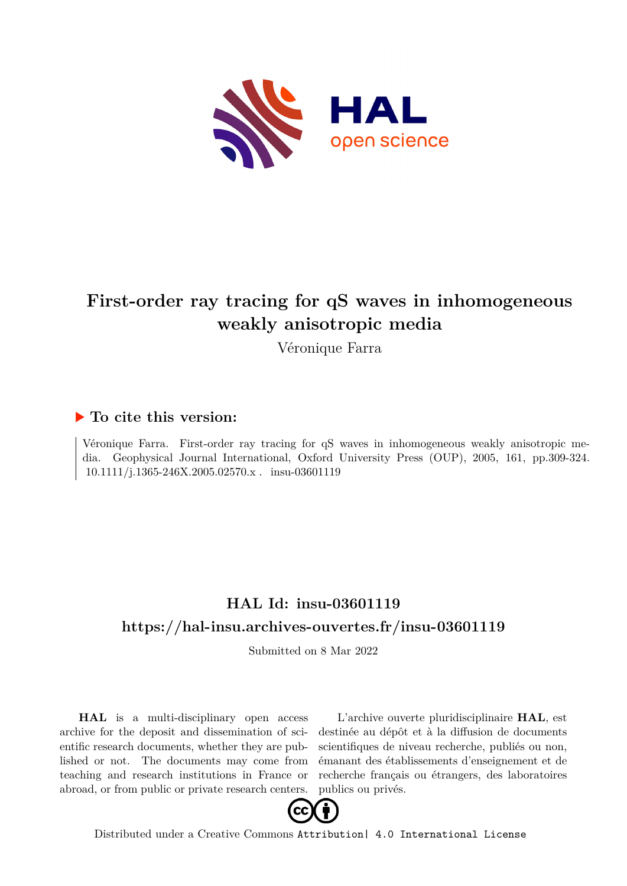

# **First-order ray tracing for qS waves in inhomogeneous weakly anisotropic media**

Véronique Farra

# **To cite this version:**

Véronique Farra. First-order ray tracing for qS waves in inhomogeneous weakly anisotropic media. Geophysical Journal International, Oxford University Press (OUP), 2005, 161, pp.309-324.  $10.1111/j.1365-246\mathrm{X}.2005.02570.x$  .  $\,$  insu-03601119

# **HAL Id: insu-03601119 <https://hal-insu.archives-ouvertes.fr/insu-03601119>**

Submitted on 8 Mar 2022

**HAL** is a multi-disciplinary open access archive for the deposit and dissemination of scientific research documents, whether they are published or not. The documents may come from teaching and research institutions in France or abroad, or from public or private research centers.

L'archive ouverte pluridisciplinaire **HAL**, est destinée au dépôt et à la diffusion de documents scientifiques de niveau recherche, publiés ou non, émanant des établissements d'enseignement et de recherche français ou étrangers, des laboratoires publics ou privés.



Distributed under a Creative Commons [Attribution| 4.0 International License](http://creativecommons.org/licenses/by/4.0/)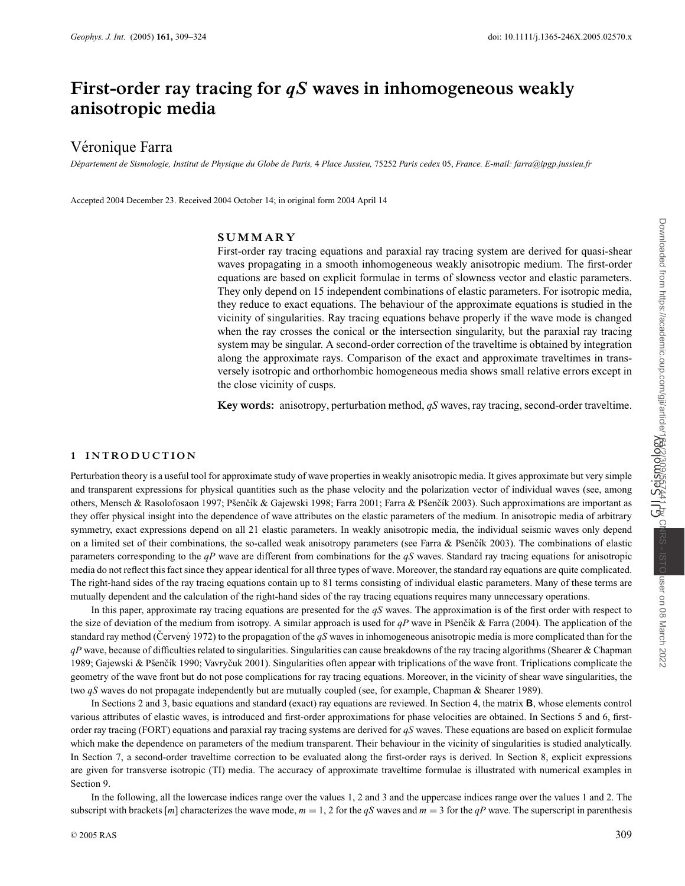# **First-order ray tracing for** *qS* **waves in inhomogeneous weakly anisotropic media**

# Véronique Farra

*D´epartement de Sismologie, Institut de Physique du Globe de Paris,* 4 *Place Jussieu,* 75252 *Paris cedex* 05, *France. E-mail: farra@ipgp.jussieu.fr*

Accepted 2004 December 23. Received 2004 October 14; in original form 2004 April 14

#### **SUMMARY**

First-order ray tracing equations and paraxial ray tracing system are derived for quasi-shear waves propagating in a smooth inhomogeneous weakly anisotropic medium. The first-order equations are based on explicit formulae in terms of slowness vector and elastic parameters. They only depend on 15 independent combinations of elastic parameters. For isotropic media, they reduce to exact equations. The behaviour of the approximate equations is studied in the vicinity of singularities. Ray tracing equations behave properly if the wave mode is changed when the ray crosses the conical or the intersection singularity, but the paraxial ray tracing system may be singular. A second-order correction of the traveltime is obtained by integration along the approximate rays. Comparison of the exact and approximate traveltimes in transversely isotropic and orthorhombic homogeneous media shows small relative errors except in the close vicinity of cusps.

**Key words:** anisotropy, perturbation method, *qS* waves, ray tracing, second-order traveltime.

#### **1 INTRO DUCTION**

Perturbation theory is a useful tool for approximate study of wave properties in weakly anisotropic media. It gives approximate but very simple and transparent expressions for physical quantities such as the phase velocity and the polarization vector of individual waves (see, among others, Mensch & Rasolofosaon 1997; Pšenčík & Gajewski 1998; Farra 2001; Farra & Pšenčík 2003). Such approximations are important as they offer physical insight into the dependence of wave attributes on the elastic parameters of the medium. In anisotropic media of arbitrary symmetry, exact expressions depend on all 21 elastic parameters. In weakly anisotropic media, the individual seismic waves only depend on a limited set of their combinations, the so-called weak anisotropy parameters (see Farra & Pšenčík 2003). The combinations of elastic parameters corresponding to the *qP* wave are different from combinations for the *qS* waves. Standard ray tracing equations for anisotropic media do not reflect this fact since they appear identical for all three types of wave. Moreover, the standard ray equations are quite complicated. The right-hand sides of the ray tracing equations contain up to 81 terms consisting of individual elastic parameters. Many of these terms are mutually dependent and the calculation of the right-hand sides of the ray tracing equations requires many unnecessary operations.

In this paper, approximate ray tracing equations are presented for the *qS* waves. The approximation is of the first order with respect to the size of deviation of the medium from isotropy. A similar approach is used for  $qP$  wave in Pšenčík & Farra (2004). The application of the standard ray method (Cerven'y 1972) to the propagation of the  $qS$  waves in inhomogeneous anisotropic media is more complicated than for the *qP* wave, because of difficulties related to singularities. Singularities can cause breakdowns of the ray tracing algorithms (Shearer & Chapman 1989; Gajewski & Pšenčík 1990; Vavryčuk 2001). Singularities often appear with triplications of the wave front. Triplications complicate the geometry of the wave front but do not pose complications for ray tracing equations. Moreover, in the vicinity of shear wave singularities, the two *qS* waves do not propagate independently but are mutually coupled (see, for example, Chapman & Shearer 1989).

In Sections 2 and 3, basic equations and standard (exact) ray equations are reviewed. In Section 4, the matrix **B**, whose elements control various attributes of elastic waves, is introduced and first-order approximations for phase velocities are obtained. In Sections 5 and 6, firstorder ray tracing (FORT) equations and paraxial ray tracing systems are derived for *qS* waves. These equations are based on explicit formulae which make the dependence on parameters of the medium transparent. Their behaviour in the vicinity of singularities is studied analytically. In Section 7, a second-order traveltime correction to be evaluated along the first-order rays is derived. In Section 8, explicit expressions are given for transverse isotropic (TI) media. The accuracy of approximate traveltime formulae is illustrated with numerical examples in Section 9.

In the following, all the lowercase indices range over the values 1, 2 and 3 and the uppercase indices range over the values 1 and 2. The subscript with brackets [*m*] characterizes the wave mode,  $m = 1, 2$  for the *qS* waves and  $m = 3$  for the *qP* wave. The superscript in parenthesis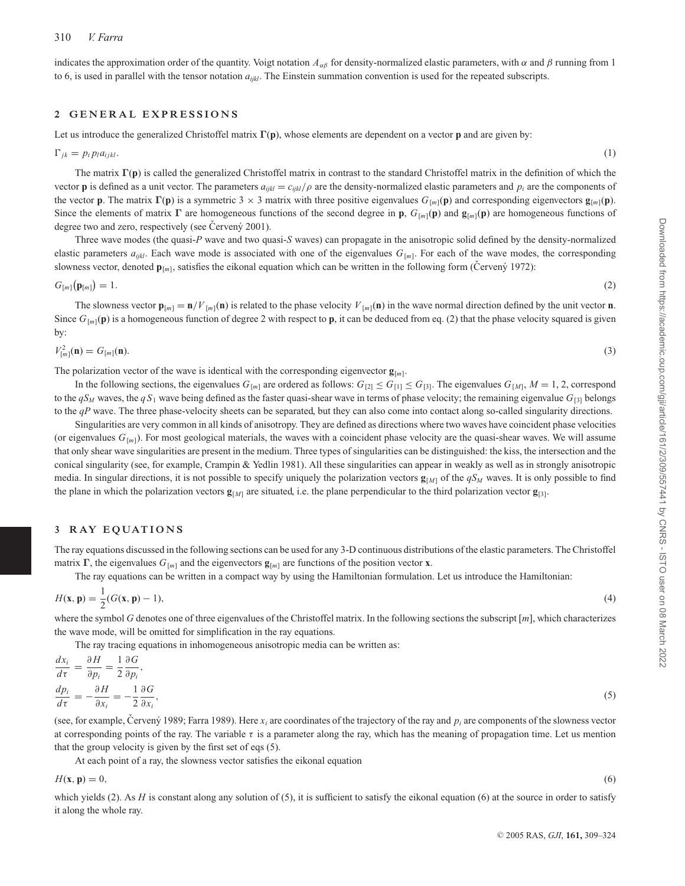indicates the approximation order of the quantity. Voigt notation  $A_{\alpha\beta}$  for density-normalized elastic parameters, with  $\alpha$  and  $\beta$  running from 1 to 6, is used in parallel with the tensor notation *aijkl*. The Einstein summation convention is used for the repeated subscripts.

#### 2 GENERAL EXPRESSIONS

Let us introduce the generalized Christoffel matrix **Γ**(**p**), whose elements are dependent on a vector **p** and are given by:

$$
\Gamma_{jk} = p_i p_l a_{ijkl}.\tag{1}
$$

The matrix **Γ**(**p**) is called the generalized Christoffel matrix in contrast to the standard Christoffel matrix in the definition of which the vector **p** is defined as a unit vector. The parameters  $a_{ijkl} = c_{ijkl}/\rho$  are the density-normalized elastic parameters and  $p_i$  are the components of the vector **p**. The matrix **Γ**(**p**) is a symmetric 3 × 3 matrix with three positive eigenvalues  $G_{[m]}($ **p**) and corresponding eigenvectors  $\mathbf{g}_{[m]}($ **p**). Since the elements of matrix **Γ** are homogeneous functions of the second degree in **p**,  $G_{[m]}(\mathbf{p})$  and  $\mathbf{g}_{[m]}(\mathbf{p})$  are homogeneous functions of degree two and zero, respectively (see Červený 2001).

Three wave modes (the quasi-*P* wave and two quasi-*S* waves) can propagate in the anisotropic solid defined by the density-normalized elastic parameters  $a_{ijkl}$ . Each wave mode is associated with one of the eigenvalues  $G_{[m]}$ . For each of the wave modes, the corresponding slowness vector, denoted  $\mathbf{p}_{[m]}$ , satisfies the eikonal equation which can be written in the following form (Cerven'y 1972):

$$
G_{[m]}(\mathbf{p}_{[m]}) = 1. \tag{2}
$$

The slowness vector  $\mathbf{p}_{[m]} = \mathbf{n}/V_{[m]}(\mathbf{n})$  is related to the phase velocity  $V_{[m]}(\mathbf{n})$  in the wave normal direction defined by the unit vector **n**. Since  $G_{[m]}(\mathbf{p})$  is a homogeneous function of degree 2 with respect to **p**, it can be deduced from eq. (2) that the phase velocity squared is given by:

$$
V_{[m]}^{2}(\mathbf{n}) = G_{[m]}(\mathbf{n}).
$$
\n(3)

The polarization vector of the wave is identical with the corresponding eigenvector  $\mathbf{g}_{[m]}$ .

In the following sections, the eigenvalues  $G_{[m]}$  are ordered as follows:  $G_{[2]} \leq G_{[1]} \leq G_{[3]}$ . The eigenvalues  $G_{[M]}$ ,  $M = 1, 2$ , correspond to the  $qS_M$  waves, the  $qS_1$  wave being defined as the faster quasi-shear wave in terms of phase velocity; the remaining eigenvalue  $G_{[3]}$  belongs to the *qP* wave. The three phase-velocity sheets can be separated, but they can also come into contact along so-called singularity directions.

Singularities are very common in all kinds of anisotropy. They are defined as directions where two waves have coincident phase velocities (or eigenvalues  $G_{[m]}$ ). For most geological materials, the waves with a coincident phase velocity are the quasi-shear waves. We will assume that only shear wave singularities are present in the medium. Three types of singularities can be distinguished: the kiss, the intersection and the conical singularity (see, for example, Crampin & Yedlin 1981). All these singularities can appear in weakly as well as in strongly anisotropic media. In singular directions, it is not possible to specify uniquely the polarization vectors  $\mathbf{g}_{[M]}$  of the  $qS_M$  waves. It is only possible to find the plane in which the polarization vectors  $\mathbf{g}_{[M]}$  are situated, i.e. the plane perpendicular to the third polarization vector  $\mathbf{g}_{[3]}$ .

#### **3 RAY EQUATIONS**

The ray equations discussed in the following sections can be used for any 3-D continuous distributions of the elastic parameters. The Christoffel matrix **Γ**, the eigenvalues  $G_{[m]}$  and the eigenvectors  $\mathbf{g}_{[m]}$  are functions of the position vector **x**.

The ray equations can be written in a compact way by using the Hamiltonian formulation. Let us introduce the Hamiltonian:

$$
H(\mathbf{x}, \mathbf{p}) = \frac{1}{2}(G(\mathbf{x}, \mathbf{p}) - 1),
$$
\n(4)

where the symbol *G* denotes one of three eigenvalues of the Christoffel matrix. In the following sections the subscript [*m*], which characterizes the wave mode, will be omitted for simplification in the ray equations.

The ray tracing equations in inhomogeneous anisotropic media can be written as:

$$
\frac{dx_i}{d\tau} = \frac{\partial H}{\partial p_i} = \frac{1}{2} \frac{\partial G}{\partial p_i},
$$
\n
$$
\frac{dp_i}{d\tau} = -\frac{\partial H}{\partial x_i} = -\frac{1}{2} \frac{\partial G}{\partial x_i},
$$
\n(5)

(see, for example, Cerveny 1989; Farra 1989). Here  $x_i$  are coordinates of the trajectory of the ray and  $p_i$  are components of the slowness vector at corresponding points of the ray. The variable  $\tau$  is a parameter along the ray, which has the meaning of propagation time. Let us mention that the group velocity is given by the first set of eqs (5).

At each point of a ray, the slowness vector satisfies the eikonal equation

 $H(\mathbf{x}, \mathbf{p}) = 0,$  (6)

which yields  $(2)$ . As *H* is constant along any solution of  $(5)$ , it is sufficient to satisfy the eikonal equation  $(6)$  at the source in order to satisfy it along the whole ray.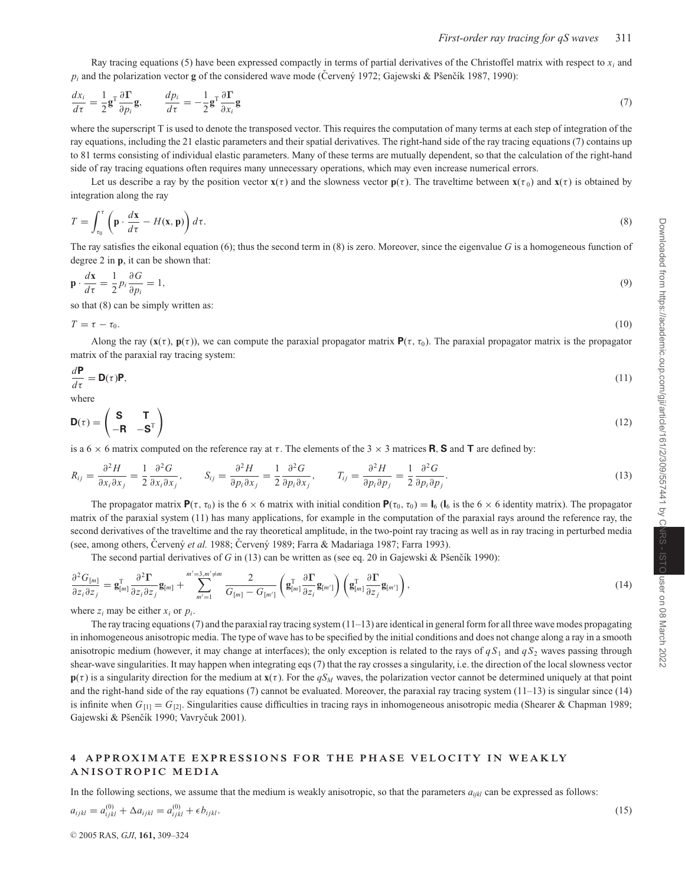Ray tracing equations (5) have been expressed compactly in terms of partial derivatives of the Christoffel matrix with respect to  $x_i$  and  $p_i$  and the polarization vector **g** of the considered wave mode (Cerven'y 1972; Gajewski & Pšenčík 1987, 1990):

$$
\frac{dx_i}{d\tau} = \frac{1}{2} \mathbf{g}^\mathrm{T} \frac{\partial \mathbf{\Gamma}}{\partial p_i} \mathbf{g}, \qquad \frac{dp_i}{d\tau} = -\frac{1}{2} \mathbf{g}^\mathrm{T} \frac{\partial \mathbf{\Gamma}}{\partial x_i} \mathbf{g}
$$
\n<sup>(7)</sup>

where the superscript T is used to denote the transposed vector. This requires the computation of many terms at each step of integration of the ray equations, including the 21 elastic parameters and their spatial derivatives. The right-hand side of the ray tracing equations (7) contains up to 81 terms consisting of individual elastic parameters. Many of these terms are mutually dependent, so that the calculation of the right-hand side of ray tracing equations often requires many unnecessary operations, which may even increase numerical errors.

Let us describe a ray by the position vector  $\mathbf{x}(\tau)$  and the slowness vector  $\mathbf{p}(\tau)$ . The traveltime between  $\mathbf{x}(\tau)$  and  $\mathbf{x}(\tau)$  is obtained by integration along the ray

$$
T = \int_{\tau_0}^{\tau} \left( \mathbf{p} \cdot \frac{d\mathbf{x}}{d\tau} - H(\mathbf{x}, \mathbf{p}) \right) d\tau.
$$
 (8)

The ray satisfies the eikonal equation (6); thus the second term in (8) is zero. Moreover, since the eigenvalue *G* is a homogeneous function of degree 2 in **p**, it can be shown that:

$$
\mathbf{p} \cdot \frac{d\mathbf{x}}{d\tau} = \frac{1}{2} p_i \frac{\partial G}{\partial p_i} = 1,\tag{9}
$$

so that (8) can be simply written as:

$$
T = \tau - \tau_0. \tag{10}
$$

Along the ray  $(\mathbf{x}(\tau), \mathbf{p}(\tau))$ , we can compute the paraxial propagator matrix  $\mathbf{P}(\tau, \tau_0)$ . The paraxial propagator matrix is the propagator matrix of the paraxial ray tracing system:

$$
\frac{d\mathbf{P}}{d\tau} = \mathbf{D}(\tau)\mathbf{P},\tag{11}
$$

where

$$
\mathbf{D}(\tau) = \begin{pmatrix} \mathbf{S} & \mathbf{T} \\ -\mathbf{R} & -\mathbf{S}^{\mathrm{T}} \end{pmatrix} \tag{12}
$$

is a  $6 \times 6$  matrix computed on the reference ray at  $\tau$ . The elements of the 3  $\times$  3 matrices **R**, **S** and **T** are defined by:

$$
R_{ij} = \frac{\partial^2 H}{\partial x_i \partial x_j} = \frac{1}{2} \frac{\partial^2 G}{\partial x_i \partial x_j}, \qquad S_{ij} = \frac{\partial^2 H}{\partial p_i \partial x_j} = \frac{1}{2} \frac{\partial^2 G}{\partial p_i \partial x_j}, \qquad T_{ij} = \frac{\partial^2 H}{\partial p_i \partial p_j} = \frac{1}{2} \frac{\partial^2 G}{\partial p_i \partial p_j}.
$$
(13)

The propagator matrix  $\mathbf{P}(\tau, \tau_0)$  is the 6  $\times$  6 matrix with initial condition  $\mathbf{P}(\tau_0, \tau_0) = \mathbf{I}_6$  ( $\mathbf{I}_6$  is the 6  $\times$  6 identity matrix). The propagator matrix of the paraxial system (11) has many applications, for example in the computation of the paraxial rays around the reference ray, the second derivatives of the traveltime and the ray theoretical amplitude, in the two-point ray tracing as well as in ray tracing in perturbed media (see, among others, Červený et al. 1988; Červený 1989; Farra & Madariaga 1987; Farra 1993).

The second partial derivatives of *G* in (13) can be written as (see eq. 20 in Gajewski & Pšenčík 1990):

$$
\frac{\partial^2 G_{[m]}}{\partial z_i \partial z_j} = \mathbf{g}_{[m]}^{\mathrm{T}} \frac{\partial^2 \mathbf{\Gamma}}{\partial z_i \partial z_j} \mathbf{g}_{[m]} + \sum_{m'=1}^{m'=3, m' \neq m} \frac{2}{G_{[m]} - G_{[m']}} \left( \mathbf{g}_{[m]}^{\mathrm{T}} \frac{\partial \mathbf{\Gamma}}{\partial z_i} \mathbf{g}_{[m']} \right) \left( \mathbf{g}_{[m]}^{\mathrm{T}} \frac{\partial \mathbf{\Gamma}}{\partial z_j} \mathbf{g}_{[m']} \right),\tag{14}
$$

where  $z_i$  may be either  $x_i$  or  $p_i$ .

The ray tracing equations (7) and the paraxial ray tracing system  $(11-13)$  are identical in general form for all three wave modes propagating in inhomogeneous anisotropic media. The type of wave has to be specified by the initial conditions and does not change along a ray in a smooth anisotropic medium (however, it may change at interfaces); the only exception is related to the rays of  $qS_1$  and  $qS_2$  waves passing through shear-wave singularities. It may happen when integrating eqs (7) that the ray crosses a singularity, i.e. the direction of the local slowness vector  $p(\tau)$  is a singularity direction for the medium at  $\mathbf{x}(\tau)$ . For the *qS<sub>M</sub>* waves, the polarization vector cannot be determined uniquely at that point and the right-hand side of the ray equations (7) cannot be evaluated. Moreover, the paraxial ray tracing system  $(11-13)$  is singular since  $(14)$ is infinite when  $G_{[1]} = G_{[2]}$ . Singularities cause difficulties in tracing rays in inhomogeneous anisotropic media (Shearer & Chapman 1989; Gajewski & Pšenčík 1990; Vavryčuk 2001).

#### **4 APPRO XIMATE EXPRESSIONS FOR THE PHASE VELOCITY IN WEAKLY ANISOTROPIC MEDIA**

In the following sections, we assume that the medium is weakly anisotropic, so that the parameters  $a_{i i k l}$  can be expressed as follows:

$$
a_{ijkl} = a_{ijkl}^{(0)} + \Delta a_{ijkl} = a_{ijkl}^{(0)} + \epsilon b_{ijkl}.
$$
\n(15)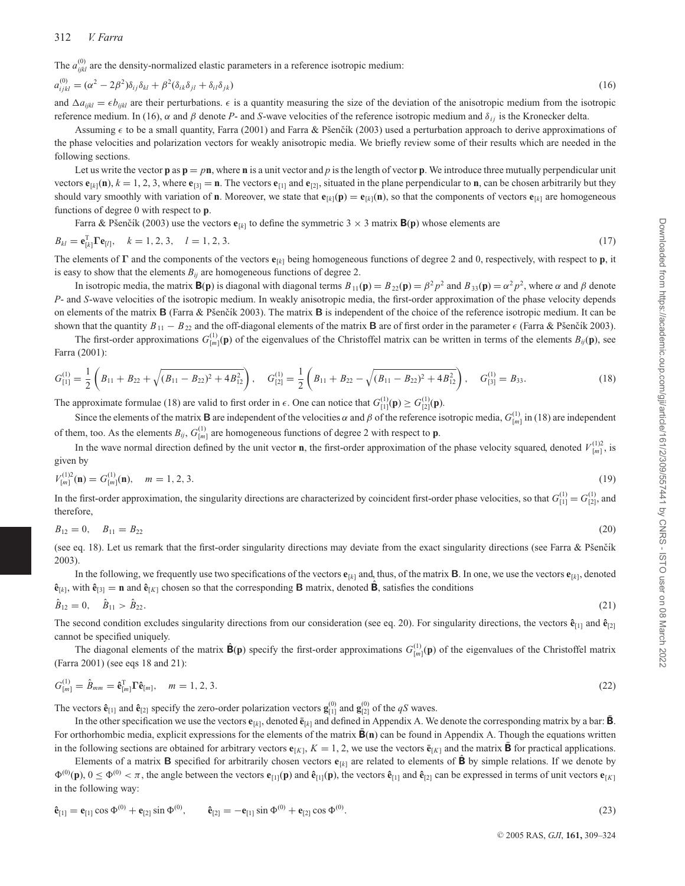The  $a_{ijkl}^{(0)}$  are the density-normalized elastic parameters in a reference isotropic medium:

$$
a_{ijkl}^{(0)} = (\alpha^2 - 2\beta^2)\delta_{ij}\delta_{kl} + \beta^2(\delta_{ik}\delta_{jl} + \delta_{il}\delta_{jk})
$$
\n(16)

and  $\Delta a_{ijkl} = \epsilon b_{ijkl}$  are their perturbations.  $\epsilon$  is a quantity measuring the size of the deviation of the anisotropic medium from the isotropic reference medium. In (16), α and β denote P- and S-wave velocities of the reference isotropic medium and  $δ<sub>ij</sub>$  is the Kronecker delta.

Assuming  $\epsilon$  to be a small quantity, Farra (2001) and Farra & Pšenčík (2003) used a perturbation approach to derive approximations of the phase velocities and polarization vectors for weakly anisotropic media. We briefly review some of their results which are needed in the following sections.

Let us write the vector **p** as  $\mathbf{p} = p\mathbf{n}$ , where **n** is a unit vector and p is the length of vector **p**. We introduce three mutually perpendicular unit vectors  $\mathbf{e}_{[k]}(\mathbf{n})$ ,  $k = 1, 2, 3$ , where  $\mathbf{e}_{[3]} = \mathbf{n}$ . The vectors  $\mathbf{e}_{[1]}$  and  $\mathbf{e}_{[2]}$ , situated in the plane perpendicular to **n**, can be chosen arbitrarily but they should vary smoothly with variation of **n**. Moreover, we state that  $\mathbf{e}_{[k]}(\mathbf{p}) = \mathbf{e}_{[k]}(\mathbf{n})$ , so that the components of vectors  $\mathbf{e}_{[k]}$  are homogeneous functions of degree 0 with respect to **p**.

Farra & Pšenčík (2003) use the vectors  $\mathbf{e}_{[k]}$  to define the symmetric 3  $\times$  3 matrix  $\mathbf{B}(\mathbf{p})$  whose elements are

$$
B_{kl} = \mathbf{e}_{[k]}^{\mathrm{T}} \mathbf{\Gamma} \mathbf{e}_{[l]}, \quad k = 1, 2, 3, \quad l = 1, 2, 3. \tag{17}
$$

The elements of **Γ** and the components of the vectors **e**[*k*] being homogeneous functions of degree 2 and 0, respectively, with respect to **p**, it is easy to show that the elements  $B_{ij}$  are homogeneous functions of degree 2.

In isotropic media, the matrix **B**(**p**) is diagonal with diagonal terms  $B_{11}(\mathbf{p}) = B_{22}(\mathbf{p}) = \beta^2 p^2$  and  $B_{33}(\mathbf{p}) = \alpha^2 p^2$ , where α and β denote *P*- and *S*-wave velocities of the isotropic medium. In weakly anisotropic media, the first-order approximation of the phase velocity depends on elements of the matrix **B** (Farra & Pšenčík 2003). The matrix **B** is independent of the choice of the reference isotropic medium. It can be shown that the quantity  $B_{11} - B_{22}$  and the off-diagonal elements of the matrix **B** are of first order in the parameter  $\epsilon$  (Farra & Pšenčík 2003).

The first-order approximations  $G_{[m]}^{(1)}(\mathbf{p})$  of the eigenvalues of the Christoffel matrix can be written in terms of the elements  $B_{ij}(\mathbf{p})$ , see Farra (2001):

$$
G_{[1]}^{(1)} = \frac{1}{2} \left( B_{11} + B_{22} + \sqrt{(B_{11} - B_{22})^2 + 4B_{12}^2} \right), \quad G_{[2]}^{(1)} = \frac{1}{2} \left( B_{11} + B_{22} - \sqrt{(B_{11} - B_{22})^2 + 4B_{12}^2} \right), \quad G_{[3]}^{(1)} = B_{33}.
$$
\n(18)

The approximate formulae (18) are valid to first order in  $\epsilon$ . One can notice that  $G_{[1]}^{(1)}(\mathbf{p}) \ge G_{[2]}^{(1)}(\mathbf{p})$ .

Since the elements of the matrix **B** are independent of the velocities  $\alpha$  and  $\beta$  of the reference isotropic media,  $G_{[m]}^{(1)}$  in (18) are independent of them, too. As the elements  $B_{ij}$ ,  $G_{[m]}^{(1)}$  are homogeneous functions of degree 2 with respect to **p**.

In the wave normal direction defined by the unit vector **n**, the first-order approximation of the phase velocity squared, denoted  $V_{[m]}^{(1)2}$ , is given by

$$
V_{[m]}^{(1)2}(\mathbf{n}) = G_{[m]}^{(1)}(\mathbf{n}), \quad m = 1, 2, 3. \tag{19}
$$

In the first-order approximation, the singularity directions are characterized by coincident first-order phase velocities, so that  $G_{[1]}^{(1)} = G_{[2]}^{(1)}$ , and therefore,

$$
B_{12} = 0, \quad B_{11} = B_{22} \tag{20}
$$

(see eq. 18). Let us remark that the first-order singularity directions may deviate from the exact singularity directions (see Farra & Pšenčík 2003).

In the following, we frequently use two specifications of the vectors  $\mathbf{e}_{[k]}$  and, thus, of the matrix **B**. In one, we use the vectors  $\mathbf{e}_{[k]}$ , denoted  $\hat{\mathbf{e}}_{[k]}$ , with  $\hat{\mathbf{e}}_{[3]} = \mathbf{n}$  and  $\hat{\mathbf{e}}_{[K]}$  chosen so that the corresponding **B** matrix, denoted **B**, satisfies the conditions

$$
\hat{B}_{12} = 0, \quad \hat{B}_{11} > \hat{B}_{22}.
$$
\n(21)

The second condition excludes singularity directions from our consideration (see eq. 20). For singularity directions, the vectors  $\hat{\mathbf{e}}_{[1]}$  and  $\hat{\mathbf{e}}_{[2]}$ cannot be specified uniquely.

The diagonal elements of the matrix  $\hat{\mathbf{B}}(\mathbf{p})$  specify the first-order approximations  $G_{[m]}^{(1)}(\mathbf{p})$  of the eigenvalues of the Christoffel matrix (Farra 2001) (see eqs 18 and 21):

$$
G_{[m]}^{(1)} = \hat{B}_{mm} = \hat{\mathbf{e}}_{[m]}^{\mathrm{T}} \mathbf{\hat{e}}_{[m]}, \quad m = 1, 2, 3. \tag{22}
$$

The vectors  $\hat{\mathbf{e}}_{[1]}$  and  $\hat{\mathbf{e}}_{[2]}$  specify the zero-order polarization vectors  $\mathbf{g}_{[1]}^{(0)}$  and  $\mathbf{g}_{[2]}^{(0)}$  of the *qS* waves.

In the other specification we use the vectors  $\mathbf{e}_{[k]}$ , denoted  $\bar{\mathbf{e}}_{[k]}$  and defined in Appendix A. We denote the corresponding matrix by a bar:  $\bar{\mathbf{B}}$ . For orthorhombic media, explicit expressions for the elements of the matrix **B**(n) can be found in Appendix A. Though the equations written

in the following sections are obtained for arbitrary vectors  $\mathbf{e}_{[K]}$ ,  $K = 1, 2$ , we use the vectors  $\mathbf{e}_{[K]}$  and the matrix **B** for practical applications. Elements of a matrix **B** specified for arbitrarily chosen vectors  $\mathbf{e}_{[k]}$  are related to elements of **B** by simple relations. If we denote by  $\Phi^{(0)}(\mathbf{p})$ ,  $0 \le \Phi^{(0)} < \pi$ , the angle between the vectors  $\mathbf{e}_{[1]}(\mathbf{p})$  and  $\hat{\mathbf{e}}_{[1]}(\mathbf{p})$ , the vectors  $\hat{\mathbf{e}}_{[1]}$  and  $\hat{\mathbf{e}}_{[2]}$  can be expressed in terms of unit vectors  $\mathbf{e}_{[K]}$ in the following way:

$$
\hat{\mathbf{e}}_{[1]} = \mathbf{e}_{[1]} \cos \Phi^{(0)} + \mathbf{e}_{[2]} \sin \Phi^{(0)}, \qquad \hat{\mathbf{e}}_{[2]} = -\mathbf{e}_{[1]} \sin \Phi^{(0)} + \mathbf{e}_{[2]} \cos \Phi^{(0)}.
$$
\n(23)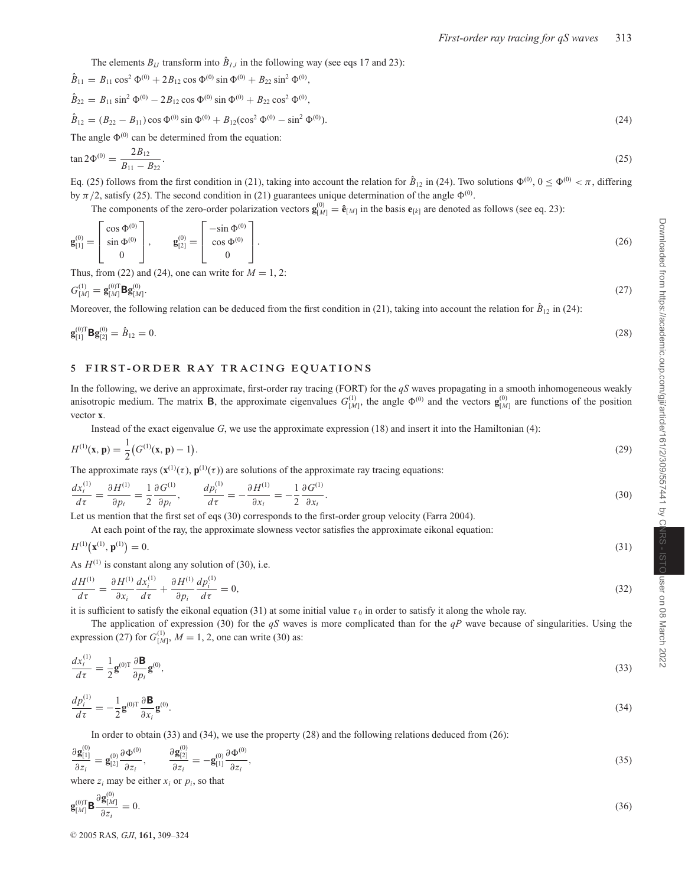The elements  $B_{IJ}$  transform into  $\hat{B}_{IJ}$  in the following way (see eqs 17 and 23):

$$
\hat{B}_{11} = B_{11} \cos^2 \Phi^{(0)} + 2B_{12} \cos \Phi^{(0)} \sin \Phi^{(0)} + B_{22} \sin^2 \Phi^{(0)},
$$
  
\n
$$
\hat{B}_{22} = B_{11} \sin^2 \Phi^{(0)} - 2B_{12} \cos \Phi^{(0)} \sin \Phi^{(0)} + B_{22} \cos^2 \Phi^{(0)},
$$
  
\n
$$
\hat{B}_{12} = (B_{22} - B_{11}) \cos \Phi^{(0)} \sin \Phi^{(0)} + B_{12} (\cos^2 \Phi^{(0)} - \sin^2 \Phi^{(0)}).
$$
  
\nThe angle  $\Phi^{(0)}$  can be determined from the equation: (24)

$$
\tan 2\Phi^{(0)} = \frac{2B_{12}}{B_{11} - B_{22}}.\tag{25}
$$

Eq. (25) follows from the first condition in (21), taking into account the relation for  $\hat{B}_{12}$  in (24). Two solutions  $\Phi^{(0)}$ ,  $0 \le \Phi^{(0)} < \pi$ , differing by  $\pi/2$ , satisfy (25). The second condition in (21) guarantees unique determination of the angle  $\Phi^{(0)}$ .

The components of the zero-order polarization vectors  $\mathbf{g}_{[M]}^{(0)} = \hat{\mathbf{e}}_{[M]}$  in the basis  $\mathbf{e}_{[k]}$  are denoted as follows (see eq. 23):

$$
\mathbf{g}_{[1]}^{(0)} = \begin{bmatrix} \cos \Phi^{(0)} \\ \sin \Phi^{(0)} \\ 0 \end{bmatrix}, \qquad \mathbf{g}_{[2]}^{(0)} = \begin{bmatrix} -\sin \Phi^{(0)} \\ \cos \Phi^{(0)} \\ 0 \end{bmatrix}.
$$
 (26)

Thus, from (22) and (24), one can write for  $M = 1, 2$ :

$$
G_{[M]}^{(1)} = \mathbf{g}_{[M]}^{(0)T} \mathbf{B} \mathbf{g}_{[M]}^{(0)}.
$$
 (27)

Moreover, the following relation can be deduced from the first condition in (21), taking into account the relation for  $\hat{B}_{12}$  in (24):

$$
\mathbf{g}_{[1]}^{(0)T} \mathbf{B} \mathbf{g}_{[2]}^{(0)} = \hat{B}_{12} = 0. \tag{28}
$$

#### **5 FIR ST-ORDER RAY TRACING EQUATIONS**

In the following, we derive an approximate, first-order ray tracing (FORT) for the *qS* waves propagating in a smooth inhomogeneous weakly anisotropic medium. The matrix **B**, the approximate eigenvalues  $G_{[M]}^{(1)}$ , the angle  $\Phi^{(0)}$  and the vectors  $\mathbf{g}_{[M]}^{(0)}$  are functions of the position vector **x**.

Instead of the exact eigenvalue *G*, we use the approximate expression (18) and insert it into the Hamiltonian (4):

$$
H^{(1)}(\mathbf{x}, \mathbf{p}) = \frac{1}{2} \left( G^{(1)}(\mathbf{x}, \mathbf{p}) - 1 \right). \tag{29}
$$

The approximate rays  $(\mathbf{x}^{(1)}(\tau), \mathbf{p}^{(1)}(\tau))$  are solutions of the approximate ray tracing equations:

$$
\frac{dx_i^{(1)}}{d\tau} = \frac{\partial H^{(1)}}{\partial p_i} = \frac{1}{2} \frac{\partial G^{(1)}}{\partial p_i}, \qquad \frac{dp_i^{(1)}}{d\tau} = -\frac{\partial H^{(1)}}{\partial x_i} = -\frac{1}{2} \frac{\partial G^{(1)}}{\partial x_i}.
$$
\n(30)

Let us mention that the first set of eqs (30) corresponds to the first-order group velocity (Farra 2004).

At each point of the ray, the approximate slowness vector satisfies the approximate eikonal equation:

$$
H^{(1)}(\mathbf{x}^{(1)}, \mathbf{p}^{(1)}) = 0. \tag{31}
$$

As  $H^{(1)}$  is constant along any solution of (30), i.e.

$$
\frac{dH^{(1)}}{d\tau} = \frac{\partial H^{(1)}}{\partial x_i} \frac{dx_i^{(1)}}{d\tau} + \frac{\partial H^{(1)}}{\partial p_i} \frac{dp_i^{(1)}}{d\tau} = 0,\tag{32}
$$

it is sufficient to satisfy the eikonal equation (31) at some initial value  $\tau_0$  in order to satisfy it along the whole ray.

The application of expression (30) for the *qS* waves is more complicated than for the *qP* wave because of singularities. Using the expression (27) for  $G_{[M]}^{(1)}$ ,  $M = 1, 2$ , one can write (30) as:

$$
\frac{dx_i^{(1)}}{d\tau} = \frac{1}{2} \mathbf{g}^{(0)T} \frac{\partial \mathbf{B}}{\partial p_i} \mathbf{g}^{(0)},\tag{33}
$$

$$
\frac{dp_i^{(1)}}{d\tau} = -\frac{1}{2}\mathbf{g}^{(0)T}\frac{\partial \mathbf{B}}{\partial x_i}\mathbf{g}^{(0)}.\tag{34}
$$

In order to obtain (33) and (34), we use the property (28) and the following relations deduced from (26):

$$
\frac{\partial \mathbf{g}_{[1]}^{(0)}}{\partial z_i} = \mathbf{g}_{[2]}^{(0)} \frac{\partial \Phi^{(0)}}{\partial z_i}, \qquad \frac{\partial \mathbf{g}_{[2]}^{(0)}}{\partial z_i} = -\mathbf{g}_{[1]}^{(0)} \frac{\partial \Phi^{(0)}}{\partial z_i},\tag{35}
$$

where  $z_i$  may be either  $x_i$  or  $p_i$ , so that

$$
\mathbf{g}_{[M]}^{(0)\mathrm{T}}\mathbf{B}\frac{\partial\mathbf{g}_{[M]}^{(0)}}{\partial z_i} = 0. \tag{36}
$$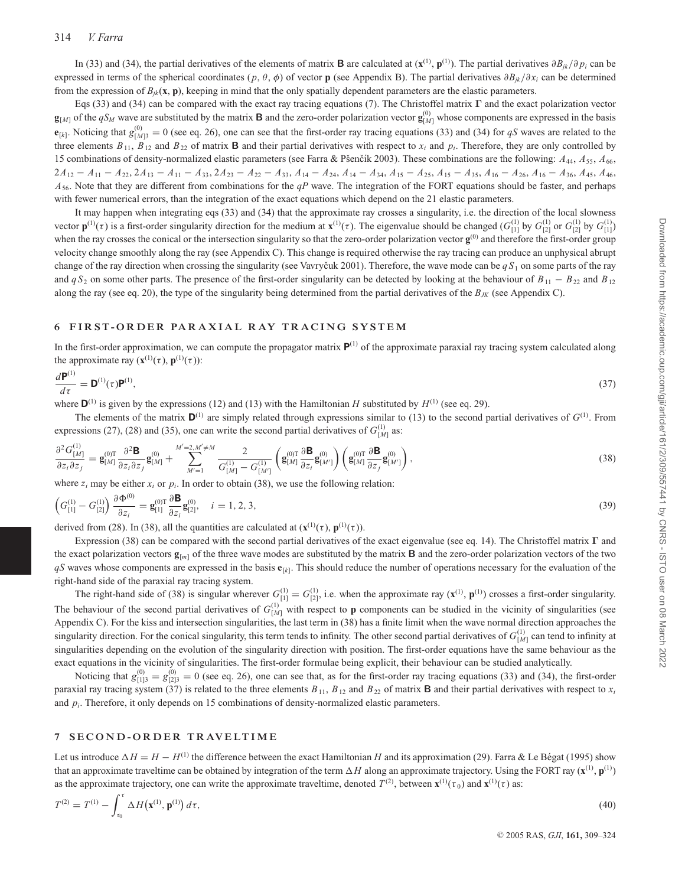In (33) and (34), the partial derivatives of the elements of matrix **B** are calculated at  $(\mathbf{x}^{(1)}, \mathbf{p}^{(1)})$ . The partial derivatives  $\partial B_{ik}/\partial p_i$  can be expressed in terms of the spherical coordinates (*p*, θ, φ) of vector **p** (see Appendix B). The partial derivatives ∂*Bjk*/∂*xi* can be determined from the expression of  $B_{ik}$ (**x**, **p**), keeping in mind that the only spatially dependent parameters are the elastic parameters.

Eqs (33) and (34) can be compared with the exact ray tracing equations (7). The Christoffel matrix **Γ** and the exact polarization vector  $\mathbf{g}_{[M]}$  of the  $qS_M$  wave are substituted by the matrix **B** and the zero-order polarization vector  $\mathbf{g}_{[M]}^{(0)}$  whose components are expressed in the basis  $\mathbf{e}_{[k]}$ . Noticing that  $g_{[M]3}^{(0)} = 0$  (see eq. 26), one can see that the first-order ray tracing equations (33) and (34) for *qS* waves are related to the three elements  $B_{11}$ ,  $B_{12}$  and  $B_{22}$  of matrix **B** and their partial derivatives with respect to  $x_i$  and  $p_i$ . Therefore, they are only controlled by 15 combinations of density-normalized elastic parameters (see Farra & Pšenčík 2003). These combinations are the following:  $A_{44}$ ,  $A_{55}$ ,  $A_{66}$ ,  $2A_{12}-A_{11}-A_{22}$ ,  $2A_{13}-A_{11}-A_{33}$ ,  $2A_{23}-A_{22}-A_{33}$ ,  $A_{14}-A_{24}$ ,  $A_{14}-A_{34}$ ,  $A_{15}-A_{25}$ ,  $A_{15}-A_{35}$ ,  $A_{16}-A_{26}$ ,  $A_{16}-A_{36}$ ,  $A_{45}$ ,  $A_{46}$ , *A*56. Note that they are different from combinations for the *qP* wave. The integration of the FORT equations should be faster, and perhaps with fewer numerical errors, than the integration of the exact equations which depend on the 21 elastic parameters.

It may happen when integrating eqs (33) and (34) that the approximate ray crosses a singularity, i.e. the direction of the local slowness vector  $\mathbf{p}^{(1)}(\tau)$  is a first-order singularity direction for the medium at  $\mathbf{x}^{(1)}(\tau)$ . The eigenvalue should be changed  $(G_{[1]}^{(1)}$  by  $G_{[2]}^{(1)}$  or  $G_{[2]}^{(1)}$  by  $G_{[1]}^{(1)}$ when the ray crosses the conical or the intersection singularity so that the zero-order polarization vector  $\mathbf{g}^{(0)}$  and therefore the first-order group velocity change smoothly along the ray (see Appendix C). This change is required otherwise the ray tracing can produce an unphysical abrupt change of the ray direction when crossing the singularity (see Vavryčuk 2001). Therefore, the wave mode can be  $qS_1$  on some parts of the ray and  $qS_2$  on some other parts. The presence of the first-order singularity can be detected by looking at the behaviour of  $B_{11} - B_{22}$  and  $B_{12}$ along the ray (see eq. 20), the type of the singularity being determined from the partial derivatives of the  $B_{JK}$  (see Appendix C).

### **6 FIR ST-ORDER PARAXIAL RAY TRACING SYSTEM**

In the first-order approximation, we can compute the propagator matrix  $\mathbf{P}^{(1)}$  of the approximate paraxial ray tracing system calculated along the approximate ray  $(\mathbf{x}^{(1)}(\tau), \mathbf{p}^{(1)}(\tau))$ :

$$
\frac{d\mathbf{P}^{(1)}}{d\tau} = \mathbf{D}^{(1)}(\tau)\mathbf{P}^{(1)},\tag{37}
$$

where  $\mathbf{D}^{(1)}$  is given by the expressions (12) and (13) with the Hamiltonian *H* substituted by  $H^{(1)}$  (see eq. 29).

The elements of the matrix  $D^{(1)}$  are simply related through expressions similar to (13) to the second partial derivatives of  $G^{(1)}$ . From expressions (27), (28) and (35), one can write the second partial derivatives of  $G_{[M]}^{(1)}$  as:

$$
\frac{\partial^2 G_{[M]}^{(1)}}{\partial z_i \partial z_j} = \mathbf{g}_{[M]}^{00T} \frac{\partial^2 \mathbf{B}}{\partial z_i \partial z_j} \mathbf{g}_{[M]}^{(0)} + \sum_{M'=1}^{M'=2,M'\neq M} \frac{2}{G_{[M]}^{(1)} - G_{[M']}^{(1)}} \left( \mathbf{g}_{[M]}^{00T} \frac{\partial \mathbf{B}}{\partial z_i} \mathbf{g}_{[M']}^{(0)} \right) \left( \mathbf{g}_{[M]}^{00T} \frac{\partial \mathbf{B}}{\partial z_j} \mathbf{g}_{[M']}^{(0)} \right),\tag{38}
$$

where  $z_i$  may be either  $x_i$  or  $p_i$ . In order to obtain (38), we use the following relation:

$$
\left(G_{[1]}^{(1)} - G_{[2]}^{(1)}\right) \frac{\partial \Phi^{(0)}}{\partial z_i} = \mathbf{g}_{[1]}^{(0)T} \frac{\partial \mathbf{B}}{\partial z_i} \mathbf{g}_{[2]}^{(0)}, \quad i = 1, 2, 3,
$$
\n(39)

derived from (28). In (38), all the quantities are calculated at  $(\mathbf{x}^{(1)}(\tau), \mathbf{p}^{(1)}(\tau))$ .

Expression (38) can be compared with the second partial derivatives of the exact eigenvalue (see eq. 14). The Christoffel matrix **Γ** and the exact polarization vectors  $\mathbf{g}_{[m]}$  of the three wave modes are substituted by the matrix **B** and the zero-order polarization vectors of the two *qS* waves whose components are expressed in the basis **e**[*k*]. This should reduce the number of operations necessary for the evaluation of the right-hand side of the paraxial ray tracing system.

The right-hand side of (38) is singular wherever  $G_{[1]}^{(1)} = G_{[2]}^{(1)}$ , i.e. when the approximate ray  $(\mathbf{x}^{(1)}, \mathbf{p}^{(1)})$  crosses a first-order singularity. The behaviour of the second partial derivatives of  $G_{[M]}^{(1)}$  with respect to **p** components can be studied in the vicinity of singularities (see Appendix C). For the kiss and intersection singularities, the last term in (38) has a finite limit when the wave normal direction approaches the singularity direction. For the conical singularity, this term tends to infinity. The other second partial derivatives of *G*(1) [*M*] can tend to infinity at singularities depending on the evolution of the singularity direction with position. The first-order equations have the same behaviour as the exact equations in the vicinity of singularities. The first-order formulae being explicit, their behaviour can be studied analytically.

Noticing that  $g_{[1]3}^{(0)} = g_{[2]3}^{(0)} = 0$  (see eq. 26), one can see that, as for the first-order ray tracing equations (33) and (34), the first-order paraxial ray tracing system (37) is related to the three elements  $B_{11}$ ,  $B_{12}$  and  $B_{22}$  of matrix **B** and their partial derivatives with respect to  $x_i$ and *pi*. Therefore, it only depends on 15 combinations of density-normalized elastic parameters.

#### **7 SEC O N D - O R D E R T R AV E LT I M E**

Let us introduce  $\Delta H = H - H^{(1)}$  the difference between the exact Hamiltonian *H* and its approximation (29). Farra & Le Bégat (1995) show that an approximate traveltime can be obtained by integration of the term  $\Delta H$  along an approximate trajectory. Using the FORT ray ( $\mathbf{x}^{(1)}$ ,  $\mathbf{p}^{(1)}$ ) as the approximate trajectory, one can write the approximate traveltime, denoted  $T^{(2)}$ , between  $\mathbf{x}^{(1)}(\tau_0)$  and  $\mathbf{x}^{(1)}(\tau)$  as:

$$
T^{(2)} = T^{(1)} - \int_{\tau_0}^{\tau} \Delta H(\mathbf{x}^{(1)}, \mathbf{p}^{(1)}) d\tau,
$$
\n(40)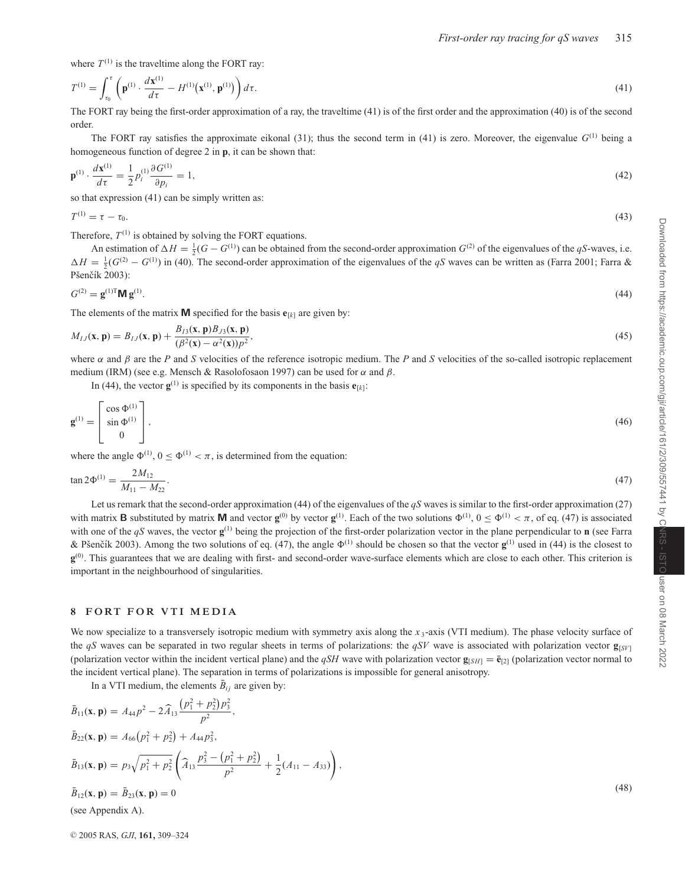where  $T^{(1)}$  is the traveltime along the FORT ray:

$$
T^{(1)} = \int_{\tau_0}^{\tau} \left( \mathbf{p}^{(1)} \cdot \frac{d\mathbf{x}^{(1)}}{d\tau} - H^{(1)}(\mathbf{x}^{(1)}, \mathbf{p}^{(1)}) \right) d\tau.
$$
 (41)

The FORT ray being the first-order approximation of a ray, the traveltime (41) is of the first order and the approximation (40) is of the second order.

The FORT ray satisfies the approximate eikonal (31); thus the second term in (41) is zero. Moreover, the eigenvalue *G*(1) being a homogeneous function of degree 2 in **p**, it can be shown that:

$$
\mathbf{p}^{(1)} \cdot \frac{d\mathbf{x}^{(1)}}{d\tau} = \frac{1}{2} p_i^{(1)} \frac{\partial G^{(1)}}{\partial p_i} = 1,\tag{42}
$$

so that expression (41) can be simply written as:

$$
T^{(1)} = \tau - \tau_0. \tag{43}
$$

Therefore,  $T^{(1)}$  is obtained by solving the FORT equations.

An estimation of  $\Delta H = \frac{1}{2}(G - G^{(1)})$  can be obtained from the second-order approximation  $G^{(2)}$  of the eigenvalues of the *qS*-waves, i.e.  $\Delta H = \frac{1}{2}(G^{(2)} - G^{(1)})$  in (40). The second-order approximation of the eigenvalues of the *qS* waves can be written as (Farra 2001; Farra & Pšenčík 2003):

$$
G^{(2)} = \mathbf{g}^{(1)T} \mathbf{M} \mathbf{g}^{(1)}.
$$
 (44)

The elements of the matrix **M** specified for the basis  $\mathbf{e}_{[k]}$  are given by:

$$
M_{IJ}(\mathbf{x}, \mathbf{p}) = B_{IJ}(\mathbf{x}, \mathbf{p}) + \frac{B_{IJ}(\mathbf{x}, \mathbf{p})B_{J3}(\mathbf{x}, \mathbf{p})}{(\beta^2(\mathbf{x}) - \alpha^2(\mathbf{x}))p^2},
$$
\n(45)

where α and β are the *P* and *S* velocities of the reference isotropic medium. The *P* and *S* velocities of the so-called isotropic replacement medium (IRM) (see e.g. Mensch & Rasolofosaon 1997) can be used for  $\alpha$  and  $\beta$ .

In (44), the vector  $\mathbf{g}^{(1)}$  is specified by its components in the basis  $\mathbf{e}_{[k]}$ :

$$
\mathbf{g}^{(1)} = \begin{bmatrix} \cos \Phi^{(1)} \\ \sin \Phi^{(1)} \\ 0 \end{bmatrix},\tag{46}
$$

where the angle  $\Phi^{(1)}$ ,  $0 \le \Phi^{(1)} < \pi$ , is determined from the equation:

$$
\tan 2\Phi^{(1)} = \frac{2M_{12}}{M_{11} - M_{22}}.\tag{47}
$$

Let us remark that the second-order approximation (44) of the eigenvalues of the *qS* waves is similar to the first-order approximation (27) with matrix **B** substituted by matrix **M** and vector  $\mathbf{g}^{(0)}$  by vector  $\mathbf{g}^{(1)}$ . Each of the two solutions  $\Phi^{(1)}$ ,  $0 \le \Phi^{(1)} < \pi$ , of eq. (47) is associated with one of the  $qS$  waves, the vector  $\mathbf{g}^{(1)}$  being the projection of the first-order polarization vector in the plane perpendicular to **n** (see Farra & Pšenčík 2003). Among the two solutions of eq. (47), the angle  $\Phi^{(1)}$  should be chosen so that the vector  $\mathbf{g}^{(1)}$  used in (44) is the closest to **g**<sup>(0)</sup>. This guarantees that we are dealing with first- and second-order wave-surface elements which are close to each other. This criterion is important in the neighbourhood of singularities.

#### **8 FORT FOR VTI MEDIA**

We now specialize to a transversely isotropic medium with symmetry axis along the  $x_3$ -axis (VTI medium). The phase velocity surface of the *qS* waves can be separated in two regular sheets in terms of polarizations: the *qSV* wave is associated with polarization vector  $\mathbf{g}_{[SVI]}$ (polarization vector within the incident vertical plane) and the *qSH* wave with polarization vector **g**[*SH*] =  $\bar{\mathbf{e}}$ <sub>[2]</sub> (polarization vector normal to the incident vertical plane). The separation in terms of polarizations is impossible for general anisotropy.

,

In a VTI medium, the elements  $\bar{B}_{ij}$  are given by:

$$
\bar{B}_{11}(\mathbf{x}, \mathbf{p}) = A_{44}p^2 - 2\widehat{A}_{13} \frac{(p_1^2 + p_2^2)p_3^2}{p^2},
$$
\n
$$
\bar{B}_{22}(\mathbf{x}, \mathbf{p}) = A_{66}(p_1^2 + p_2^2) + A_{44}p_3^2,
$$
\n
$$
\bar{B}_{13}(\mathbf{x}, \mathbf{p}) = p_3 \sqrt{p_1^2 + p_2^2} \left( \widehat{A}_{13} \frac{p_3^2 - (p_1^2 + p_2^2)}{p^2} + \frac{1}{2} (A_{11} - A_{33}) \right),
$$
\n
$$
\bar{B}_{12}(\mathbf{x}, \mathbf{p}) = \bar{B}_{23}(\mathbf{x}, \mathbf{p}) = 0
$$
\n(48)\n(48)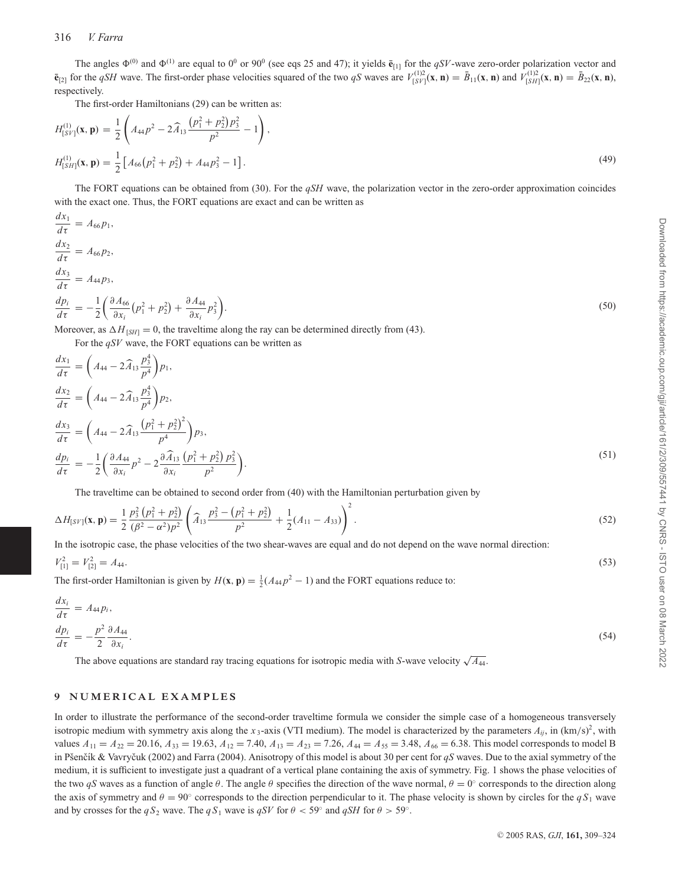The angles  $\Phi^{(0)}$  and  $\Phi^{(1)}$  are equal to  $0^0$  or 90<sup>0</sup> (see eqs 25 and 47); it yields  $\bar{e}_{[1]}$  for the *qSV*-wave zero-order polarization vector and  $\bar{\mathbf{e}}_{[2]}$  for the *qSH* wave. The first-order phase velocities squared of the two *qS* waves are  $V_{[S V]}^{(1)2}(\mathbf{x}, \mathbf{n}) = \bar{B}_{11}(\mathbf{x}, \mathbf{n})$  and  $V_{[S H]}^{(1)2}(\mathbf{x}, \mathbf{n}) = \bar{B}_{22}(\mathbf{x}, \mathbf{n})$ , respectively.

The first-order Hamiltonians (29) can be written as:

$$
H_{[SV]}^{(1)}(\mathbf{x}, \mathbf{p}) = \frac{1}{2} \left( A_{44} p^2 - 2 \widehat{A}_{13} \frac{(p_1^2 + p_2^2) p_3^2}{p^2} - 1 \right),
$$
  
\n
$$
H_{[SH]}^{(1)}(\mathbf{x}, \mathbf{p}) = \frac{1}{2} \left[ A_{66} (p_1^2 + p_2^2) + A_{44} p_3^2 - 1 \right].
$$
\n(49)

The FORT equations can be obtained from (30). For the *qSH* wave, the polarization vector in the zero-order approximation coincides with the exact one. Thus, the FORT equations are exact and can be written as

$$
\frac{dx_1}{d\tau} = A_{66}p_1,
$$
\n
$$
\frac{dx_2}{d\tau} = A_{66}p_2,
$$
\n
$$
\frac{dx_3}{d\tau} = A_{44}p_3,
$$
\n
$$
\frac{dp_i}{d\tau} = -\frac{1}{2}\left(\frac{\partial A_{66}}{\partial x_i}(p_1^2 + p_2^2) + \frac{\partial A_{44}}{\partial x_i}p_3^2\right).
$$
\nMoreover, as  $\Delta H_{15H} = 0$ , the traveling along the ray can be determined directly from (43).

Moreover, as  $\Delta H_{\text{[S/H]}} = 0$ , the traveltime along the ray can be determined directly from (43). For the *qSV* wave, the FORT equations can be written as

$$
\frac{dx_1}{d\tau} = \left(A_{44} - 2\widehat{A}_{13} \frac{p_3^4}{p^4}\right) p_1,\n\frac{dx_2}{d\tau} = \left(A_{44} - 2\widehat{A}_{13} \frac{p_3^4}{p^4}\right) p_2,\n\frac{dx_3}{d\tau} = \left(A_{44} - 2\widehat{A}_{13} \frac{\left(p_1^2 + p_2^2\right)^2}{p^4}\right) p_3,\n\frac{dp_i}{d\tau} = -\frac{1}{2} \left(\frac{\partial A_{44}}{\partial x_i} p^2 - 2\frac{\partial \widehat{A}_{13}}{\partial x_i} \frac{\left(p_1^2 + p_2^2\right) p_3^2}{p^2}\right).
$$
\n
$$
\Gamma_{11} = \frac{1}{2} \left(\frac{\partial A_{44}}{\partial x_i} p^2 - 2\frac{\partial \widehat{A}_{13}}{\partial x_i} \frac{\left(p_1^2 + p_2^2\right) p_3^2}{p^2}\right).
$$
\n(51)

The traveltime can be obtained to second order from (40) with the Hamiltonian perturbation given by

$$
\Delta H_{[SV]}(\mathbf{x}, \mathbf{p}) = \frac{1}{2} \frac{p_3^2 \left(p_1^2 + p_2^2\right)}{(\beta^2 - \alpha^2)p^2} \left(\widehat{A}_{13} \frac{p_3^2 - \left(p_1^2 + p_2^2\right)}{p^2} + \frac{1}{2} (A_{11} - A_{33})\right)^2.
$$
\n(52)

In the isotropic case, the phase velocities of the two shear-waves are equal and do not depend on the wave normal direction:

$$
V_{[1]}^2 = V_{[2]}^2 = A_{44}.\tag{53}
$$

The first-order Hamiltonian is given by  $H(\mathbf{x}, \mathbf{p}) = \frac{1}{2}(A_{44}p^2 - 1)$  and the FORT equations reduce to:

$$
\frac{dx_i}{d\tau} = A_{44}p_i,
$$
  
\n
$$
\frac{dp_i}{d\tau} = -\frac{p^2}{2}\frac{\partial A_{44}}{\partial x_i}.
$$
\n(54)

The above equations are standard ray tracing equations for isotropic media with *<sup>S</sup>*-wave velocity <sup>√</sup>*A*44.

#### **9 NUM ERICAL EXAMPLES**

In order to illustrate the performance of the second-order traveltime formula we consider the simple case of a homogeneous transversely isotropic medium with symmetry axis along the  $x_3$ -axis (VTI medium). The model is characterized by the parameters  $A_{ij}$ , in  $(km/s)^2$ , with values  $A_{11} = A_{22} = 20.16$ ,  $A_{33} = 19.63$ ,  $A_{12} = 7.40$ ,  $A_{13} = A_{23} = 7.26$ ,  $A_{44} = A_{55} = 3.48$ ,  $A_{66} = 6.38$ . This model corresponds to model B in Pšenčík & Vavryčuk (2002) and Farra (2004). Anisotropy of this model is about 30 per cent for *qS* waves. Due to the axial symmetry of the medium, it is sufficient to investigate just a quadrant of a vertical plane containing the axis of symmetry. Fig. 1 shows the phase velocities of the two *qS* waves as a function of angle  $\theta$ . The angle  $\theta$  specifies the direction of the wave normal,  $\theta = 0$ ° corresponds to the direction along the axis of symmetry and  $\theta = 90^\circ$  corresponds to the direction perpendicular to it. The phase velocity is shown by circles for the  $qS_1$  wave and by crosses for the  $qS_2$  wave. The  $qS_1$  wave is  $qSV$  for  $\theta < 59^\circ$  and  $qSH$  for  $\theta > 59^\circ$ .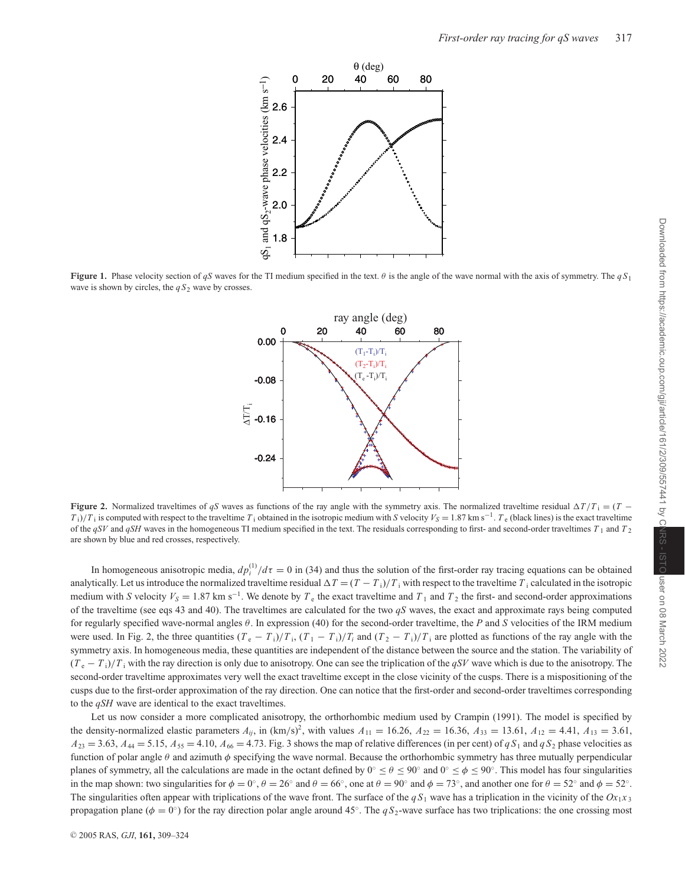

**Figure 1.** Phase velocity section of *qS* waves for the TI medium specified in the text. θ is the angle of the wave normal with the axis of symmetry. The *q S*<sup>1</sup> wave is shown by circles, the  $qS_2$  wave by crosses.



**Figure 2.** Normalized traveltimes of *qS* waves as functions of the ray angle with the symmetry axis. The normalized traveltime residual  $\Delta T/T_i = (T - T_i)$  $T_i$ )/ $T_i$  is computed with respect to the traveltime  $T_i$  obtained in the isotropic medium with *S* velocity  $V_s = 1.87$  km s<sup>−1</sup>.  $T_e$  (black lines) is the exact traveltime of the *qSV* and *qSH* waves in the homogeneous TI medium specified in the text. The residuals corresponding to first- and second-order traveltimes *T* <sup>1</sup> and *T* <sup>2</sup> are shown by blue and red crosses, respectively.

In homogeneous anisotropic media,  $dp_i^{(1)}/d\tau = 0$  in (34) and thus the solution of the first-order ray tracing equations can be obtained analytically. Let us introduce the normalized traveltime residual  $\Delta T = (T - T_i)/T_i$  with respect to the traveltime  $T_i$  calculated in the isotropic medium with *S* velocity  $V_s = 1.87$  km s<sup>-1</sup>. We denote by  $T_e$  the exact traveltime and  $T_1$  and  $T_2$  the first- and second-order approximations of the traveltime (see eqs 43 and 40). The traveltimes are calculated for the two *qS* waves, the exact and approximate rays being computed for regularly specified wave-normal angles θ. In expression (40) for the second-order traveltime, the *P* and *S* velocities of the IRM medium were used. In Fig. 2, the three quantities  $(T_e - T_i)/T_i$ ,  $(T_1 - T_i)/T_i$  and  $(T_2 - T_i)/T_i$  are plotted as functions of the ray angle with the symmetry axis. In homogeneous media, these quantities are independent of the distance between the source and the station. The variability of (*T* <sup>e</sup> − *T* i)/*T* <sup>i</sup> with the ray direction is only due to anisotropy. One can see the triplication of the *qSV* wave which is due to the anisotropy. The second-order traveltime approximates very well the exact traveltime except in the close vicinity of the cusps. There is a mispositioning of the cusps due to the first-order approximation of the ray direction. One can notice that the first-order and second-order traveltimes corresponding to the *qSH* wave are identical to the exact traveltimes.

Let us now consider a more complicated anisotropy, the orthorhombic medium used by Crampin (1991). The model is specified by the density-normalized elastic parameters  $A_{ij}$ , in  $(km/s)^2$ , with values  $A_{11} = 16.26$ ,  $A_{22} = 16.36$ ,  $A_{33} = 13.61$ ,  $A_{12} = 4.41$ ,  $A_{13} = 3.61$ ,  $A_{23} = 3.63$ ,  $A_{44} = 5.15$ ,  $A_{55} = 4.10$ ,  $A_{66} = 4.73$ . Fig. 3 shows the map of relative differences (in per cent) of *q S*<sub>1</sub> and *q S*<sub>2</sub> phase velocities as function of polar angle  $\theta$  and azimuth  $\phi$  specifying the wave normal. Because the orthorhombic symmetry has three mutually perpendicular planes of symmetry, all the calculations are made in the octant defined by  $0° \le \theta \le 90°$  and  $0° \le \phi \le 90°$ . This model has four singularities in the map shown: two singularities for  $\phi = 0^{\circ}$ ,  $\theta = 26^{\circ}$  and  $\theta = 66^{\circ}$ , one at  $\theta = 90^{\circ}$  and  $\phi = 73^{\circ}$ , and another one for  $\theta = 52^{\circ}$  and  $\phi = 52^{\circ}$ . The singularities often appear with triplications of the wave front. The surface of the  $qS_1$  wave has a triplication in the vicinity of the  $Ox_1x_3$ propagation plane ( $\phi = 0^\circ$ ) for the ray direction polar angle around 45°. The *qS*<sub>2</sub>-wave surface has two triplications: the one crossing most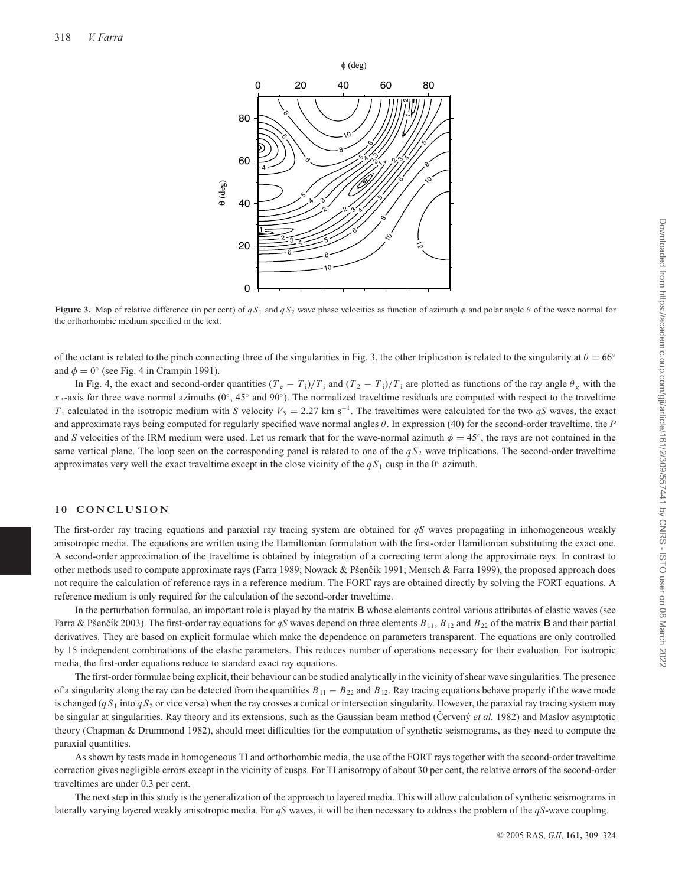

**Figure 3.** Map of relative difference (in per cent) of  $qS_1$  and  $qS_2$  wave phase velocities as function of azimuth  $\phi$  and polar angle  $\theta$  of the wave normal for the orthorhombic medium specified in the text.

of the octant is related to the pinch connecting three of the singularities in Fig. 3, the other triplication is related to the singularity at  $\theta = 66°$ and  $\phi = 0^{\circ}$  (see Fig. 4 in Crampin 1991).

In Fig. 4, the exact and second-order quantities  $(T_e - T_i)/T_i$  and  $(T_2 - T_i)/T_i$  are plotted as functions of the ray angle  $\theta_g$  with the *x* 3-axis for three wave normal azimuths ( $0^\circ$ , 45 $^\circ$  and  $90^\circ$ ). The normalized traveltime residuals are computed with respect to the traveltime *T*<sub>i</sub> calculated in the isotropic medium with *S* velocity  $V_s = 2.27$  km s<sup>−1</sup>. The traveltimes were calculated for the two *qS* waves, the exact and approximate rays being computed for regularly specified wave normal angles θ. In expression (40) for the second-order traveltime, the *P* and *S* velocities of the IRM medium were used. Let us remark that for the wave-normal azimuth  $\phi = 45^\circ$ , the rays are not contained in the same vertical plane. The loop seen on the corresponding panel is related to one of the  $qS_2$  wave triplications. The second-order traveltime approximates very well the exact traveltime except in the close vicinity of the *q S*<sup>1</sup> cusp in the 0◦ azimuth.

#### **10 CONCLUSION**

The first-order ray tracing equations and paraxial ray tracing system are obtained for *qS* waves propagating in inhomogeneous weakly anisotropic media. The equations are written using the Hamiltonian formulation with the first-order Hamiltonian substituting the exact one. A second-order approximation of the traveltime is obtained by integration of a correcting term along the approximate rays. In contrast to other methods used to compute approximate rays (Farra 1989; Nowack & Pšenčík 1991; Mensch & Farra 1999), the proposed approach does not require the calculation of reference rays in a reference medium. The FORT rays are obtained directly by solving the FORT equations. A reference medium is only required for the calculation of the second-order traveltime.

In the perturbation formulae, an important role is played by the matrix **B** whose elements control various attributes of elastic waves (see Farra & Pšenčík 2003). The first-order ray equations for *qS* waves depend on three elements  $B_{11}$ ,  $B_{12}$  and  $B_{22}$  of the matrix **B** and their partial derivatives. They are based on explicit formulae which make the dependence on parameters transparent. The equations are only controlled by 15 independent combinations of the elastic parameters. This reduces number of operations necessary for their evaluation. For isotropic media, the first-order equations reduce to standard exact ray equations.

The first-order formulae being explicit, their behaviour can be studied analytically in the vicinity of shear wave singularities. The presence of a singularity along the ray can be detected from the quantities  $B_{11} - B_{22}$  and  $B_{12}$ . Ray tracing equations behave properly if the wave mode is changed  $(qS_1$  into  $qS_2$  or vice versa) when the ray crosses a conical or intersection singularity. However, the paraxial ray tracing system may be singular at singularities. Ray theory and its extensions, such as the Gaussian beam method (Cerven $\acute{y}$  *et al.* 1982) and Maslov asymptotic theory (Chapman & Drummond 1982), should meet difficulties for the computation of synthetic seismograms, as they need to compute the paraxial quantities.

As shown by tests made in homogeneous TI and orthorhombic media, the use of the FORT rays together with the second-order traveltime correction gives negligible errors except in the vicinity of cusps. For TI anisotropy of about 30 per cent, the relative errors of the second-order traveltimes are under 0.3 per cent.

The next step in this study is the generalization of the approach to layered media. This will allow calculation of synthetic seismograms in laterally varying layered weakly anisotropic media. For *qS* waves, it will be then necessary to address the problem of the *qS*-wave coupling.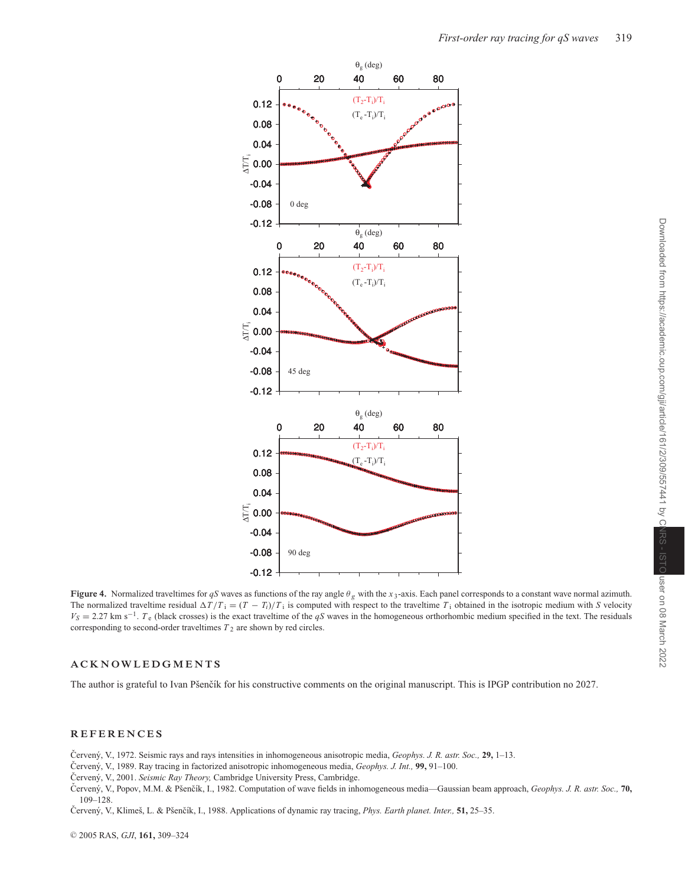

**Figure 4.** Normalized traveltimes for *qS* waves as functions of the ray angle  $\theta_g$  with the *x* 3-axis. Each panel corresponds to a constant wave normal azimuth. The normalized traveltime residual  $\Delta T/T_i = (T - T_i)/T_i$  is computed with respect to the traveltime  $T_i$  obtained in the isotropic medium with *S* velocity  $V_S = 2.27$  km s<sup>-1</sup>. *T*<sub>e</sub> (black crosses) is the exact traveltime of the *qS* waves in the homogeneous orthorhombic medium specified in the text. The residuals corresponding to second-order traveltimes  $T_2$  are shown by red circles.

#### **ACKNOW LEDGMENTS**

The author is grateful to Ivan Pšenčík for his constructive comments on the original manuscript. This is IPGP contribution no 2027.

#### **REFERENCES**

Červený, V., 1972. Seismic rays and rays intensities in inhomogeneous anisotropic media, *Geophys. J. R. astr. Soc.*, 29, 1–13.

Cervený, V., 1989. Ray tracing in factorized anisotropic inhomogeneous media, *Geophys. J. Int.*, 99, 91–100.

Červený, V., 2001. Seismic Ray Theory, Cambridge University Press, Cambridge.

Cerven´y, V., Popov, M.M. & Pˇsenˇ ˇ c´ık, I., 1982. Computation of wave fields in inhomogeneous media—Gaussian beam approach, *Geophys. J. R. astr. Soc.,* **70,** 109–128.

Červený, V., Klimeš, L. & Pšenčík, I., 1988. Applications of dynamic ray tracing, *Phys. Earth planet. Inter.*, 51, 25-35.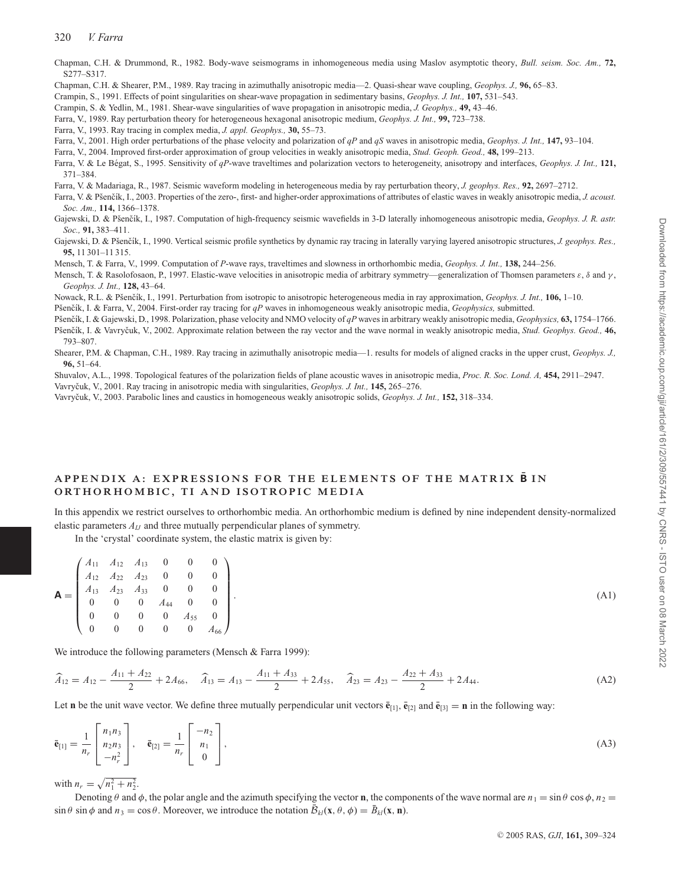Chapman, C.H. & Drummond, R., 1982. Body-wave seismograms in inhomogeneous media using Maslov asymptotic theory, *Bull. seism. Soc. Am.,* **72,** S277–S317.

Chapman, C.H. & Shearer, P.M., 1989. Ray tracing in azimuthally anisotropic media—2. Quasi-shear wave coupling, *Geophys. J.,* **96,** 65–83.

Crampin, S., 1991. Effects of point singularities on shear-wave propagation in sedimentary basins, *Geophys. J. Int.,* **107,** 531–543.

Crampin, S. & Yedlin, M., 1981. Shear-wave singularities of wave propagation in anisotropic media, *J. Geophys.,* **49,** 43–46.

Farra, V., 1989. Ray perturbation theory for heterogeneous hexagonal anisotropic medium, *Geophys. J. Int.,* **99,** 723–738.

Farra, V., 1993. Ray tracing in complex media, *J. appl. Geophys.,* **30,** 55–73.

Farra, V., 2001. High order perturbations of the phase velocity and polarization of *qP* and *qS* waves in anisotropic media, *Geophys. J. Int.,* **147,** 93–104.

Farra, V., 2004. Improved first-order approximation of group velocities in weakly anisotropic media, *Stud. Geoph. Geod.,* **48,** 199–213.

Farra, V. & Le B´egat, S., 1995. Sensitivity of *qP*-wave traveltimes and polarization vectors to heterogeneity, anisotropy and interfaces, *Geophys. J. Int.,* **121,** 371–384.

Farra, V. & Madariaga, R., 1987. Seismic waveform modeling in heterogeneous media by ray perturbation theory, *J. geophys. Res.,* **92,** 2697–2712.

- Farra, V. & Pšenčík, I., 2003. Properties of the zero-, first- and higher-order approximations of attributes of elastic waves in weakly anisotropic media, *J. acoust. Soc. Am.,* **114,** 1366–1378.
- Gajewski, D. & Pšenčík, I., 1987. Computation of high-frequency seismic wavefields in 3-D laterally inhomogeneous anisotropic media, *Geophys. J. R. astr. Soc.,* **91,** 383–411.
- Gajewski, D. & Pšenčík, I., 1990. Vertical seismic profile synthetics by dynamic ray tracing in laterally varying layered anisotropic structures, *J. geophys. Res.*, **95,** 11 301–11 315.
- Mensch, T. & Farra, V., 1999. Computation of *P*-wave rays, traveltimes and slowness in orthorhombic media, *Geophys. J. Int.,* **138,** 244–256.
- Mensch, T. & Rasolofosaon, P., 1997. Elastic-wave velocities in anisotropic media of arbitrary symmetry—generalization of Thomsen parameters  $\varepsilon$ ,  $\delta$  and  $\gamma$ , *Geophys. J. Int.,* **128,** 43–64.
- Nowack, R.L. & Pšenčík, I., 1991. Perturbation from isotropic to anisotropic heterogeneous media in ray approximation, *Geophys. J. Int.*, **106**, 1–10.

Pšenčík, I. & Farra, V., 2004. First-order ray tracing for  $qP$  waves in inhomogeneous weakly anisotropic media, *Geophysics*, submitted.

- Pšenčík, I. & Gajewski, D., 1998. Polarization, phase velocity and NMO velocity of *qP* waves in arbitrary weakly anisotropic media, *Geophysics*, **63**, 1754–1766. Pšenčík, I. & Vavryčuk, V., 2002. Approximate relation between the ray vector and the wave normal in weakly anisotropic media, *Stud. Geophys. Geod.*, **46,**
- 793–807.
- Shearer, P.M. & Chapman, C.H., 1989. Ray tracing in azimuthally anisotropic media—1. results for models of aligned cracks in the upper crust, *Geophys. J.,* **96,** 51–64.

Shuvalov, A.L., 1998. Topological features of the polarization fields of plane acoustic waves in anisotropic media, *Proc. R. Soc. Lond. A,* **454,** 2911–2947.

Vavryˇcuk, V., 2001. Ray tracing in anisotropic media with singularities, *Geophys. J. Int.,* **145,** 265–276.

Vavryˇcuk, V., 2003. Parabolic lines and caustics in homogeneous weakly anisotropic solids, *Geophys. J. Int.,* **152,** 318–334.

## **APPENDIX A: EXPRESSIONS FOR THE ELEMENTS OF THE MATRIX B¯ I N ORTHORHOMBIC, TI AND ISOTROPIC MEDIA**

In this appendix we restrict ourselves to orthorhombic media. An orthorhombic medium is defined by nine independent density-normalized elastic parameters *AIJ* and three mutually perpendicular planes of symmetry.

In the 'crystal' coordinate system, the elastic matrix is given by:

$$
\mathbf{A} = \begin{pmatrix} A_{11} & A_{12} & A_{13} & 0 & 0 & 0 \\ A_{12} & A_{22} & A_{23} & 0 & 0 & 0 \\ A_{13} & A_{23} & A_{33} & 0 & 0 & 0 \\ 0 & 0 & 0 & A_{44} & 0 & 0 \\ 0 & 0 & 0 & 0 & A_{55} & 0 \\ 0 & 0 & 0 & 0 & 0 & A_{66} \end{pmatrix}.
$$
 (A1)

We introduce the following parameters (Mensch & Farra 1999):

$$
\widehat{A}_{12} = A_{12} - \frac{A_{11} + A_{22}}{2} + 2A_{66}, \quad \widehat{A}_{13} = A_{13} - \frac{A_{11} + A_{33}}{2} + 2A_{55}, \quad \widehat{A}_{23} = A_{23} - \frac{A_{22} + A_{33}}{2} + 2A_{44}.
$$
 (A2)

Let **n** be the unit wave vector. We define three mutually perpendicular unit vectors  $\bar{\mathbf{e}}_{[1]}, \bar{\mathbf{e}}_{[2]}$  and  $\bar{\mathbf{e}}_{[3]} = \mathbf{n}$  in the following way:

$$
\bar{\mathbf{e}}_{[1]} = \frac{1}{n_r} \begin{bmatrix} n_1 n_3 \\ n_2 n_3 \\ -n_r^2 \end{bmatrix}, \quad \bar{\mathbf{e}}_{[2]} = \frac{1}{n_r} \begin{bmatrix} -n_2 \\ n_1 \\ 0 \end{bmatrix},
$$
\n(A3)

with  $n_r = \sqrt{n_1^2 + n_2^2}$ .

Denoting  $\theta$  and  $\phi$ , the polar angle and the azimuth specifying the vector **n**, the components of the wave normal are  $n_1 = \sin \theta \cos \phi$ ,  $n_2 =$  $\sin \theta \sin \phi$  and  $n_3 = \cos \theta$ . Moreover, we introduce the notation  $\bar{\mathcal{B}}_{kl}(\mathbf{x}, \theta, \phi) = \bar{\mathcal{B}}_{kl}(\mathbf{x}, \mathbf{n})$ .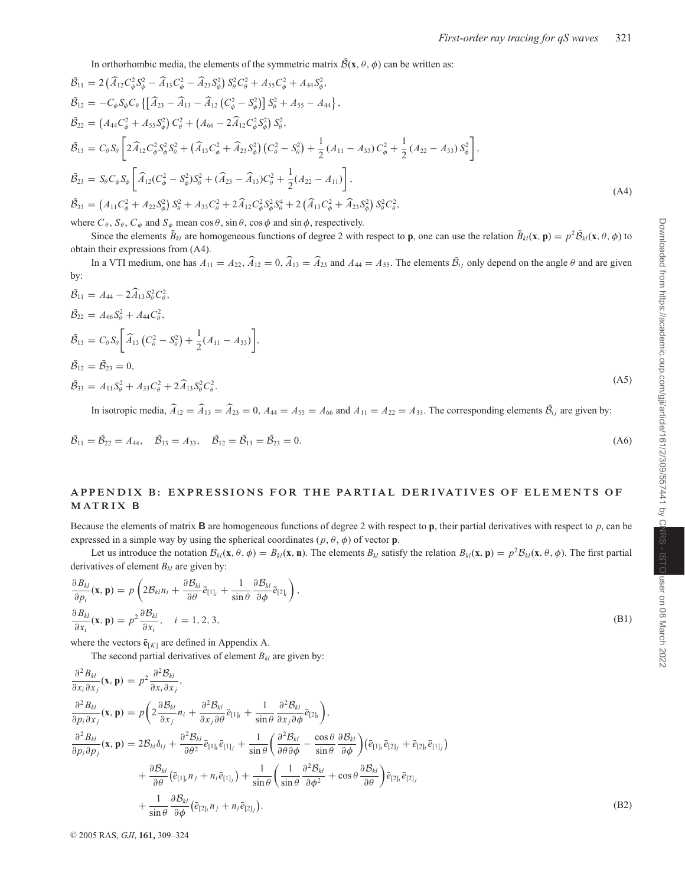In orthorhombic media, the elements of the symmetric matrix  $\bar{\mathcal{B}}(\mathbf{x}, \theta, \phi)$  can be written as:

$$
\tilde{B}_{11} = 2\left(\hat{A}_{12}C_{\phi}^{2}S_{\phi}^{2} - \hat{A}_{13}C_{\phi}^{2} - \hat{A}_{23}S_{\phi}^{2}\right)S_{\theta}^{2}C_{\theta}^{2} + A_{55}C_{\phi}^{2} + A_{44}S_{\phi}^{2},
$$
\n
$$
\tilde{B}_{12} = -C_{\phi}S_{\phi}C_{\theta}\left\{ \left[\hat{A}_{23} - \hat{A}_{13} - \hat{A}_{12}\left(C_{\phi}^{2} - S_{\phi}^{2}\right)\right]S_{\theta}^{2} + A_{55} - A_{44}\right\},
$$
\n
$$
\tilde{B}_{22} = \left(A_{44}C_{\phi}^{2} + A_{55}S_{\phi}^{2}\right)C_{\theta}^{2} + \left(A_{66} - 2\hat{A}_{12}C_{\phi}^{2}S_{\phi}^{2}\right)S_{\theta}^{2},
$$
\n
$$
\tilde{B}_{13} = C_{\theta}S_{\theta}\left[2\hat{A}_{12}C_{\phi}^{2}S_{\phi}^{2}S_{\phi}^{2} + \left(\hat{A}_{13}C_{\phi}^{2} + \hat{A}_{23}S_{\phi}^{2}\right)\left(C_{\theta}^{2} - S_{\theta}^{2}\right) + \frac{1}{2}\left(A_{11} - A_{33}\right)C_{\phi}^{2} + \frac{1}{2}\left(A_{22} - A_{33}\right)S_{\phi}^{2}\right],
$$
\n
$$
\tilde{B}_{23} = S_{\theta}C_{\phi}S_{\phi}\left[\hat{A}_{12}(C_{\phi}^{2} - S_{\phi}^{2})S_{\theta}^{2} + (\hat{A}_{23} - \hat{A}_{13})C_{\theta}^{2} + \frac{1}{2}(A_{22} - A_{11})\right],
$$
\n
$$
\tilde{B}_{33} = \left(A_{11}C_{\phi}^{2} + A_{22}S_{\phi}^{2}\right)S_{\theta}^{2} + A_{33}C_{\theta}^{2} + 2\hat{A}_{12}C_{\phi}^{2}S_{\phi}^{2}S_{\theta}^{4} + 2\left(\hat{A}_{13}C_{\phi}^{2}
$$

where  $C_{\theta}$ ,  $S_{\theta}$ ,  $C_{\phi}$  and  $S_{\phi}$  mean cos  $\theta$ , sin  $\theta$ , cos  $\phi$  and sin  $\phi$ , respectively.

Since the elements  $\bar{B}_{kl}$  are homogeneous functions of degree 2 with respect to **p**, one can use the relation  $\bar{B}_{kl}(\mathbf{x}, \mathbf{p}) = p^2 \bar{B}_{kl}(\mathbf{x}, \theta, \phi)$  to obtain their expressions from (A4).

In a VTI medium, one has  $A_{11} = A_{22}$ ,  $\widehat{A}_{12} = 0$ ,  $\widehat{A}_{13} = \widehat{A}_{23}$  and  $A_{44} = A_{55}$ . The elements  $\overline{B}_{ij}$  only depend on the angle  $\theta$  and are given by:

$$
\bar{\mathcal{B}}_{11} = A_{44} - 2\widehat{A}_{13} S_{\theta}^{2} C_{\theta}^{2}, \n\bar{\mathcal{B}}_{22} = A_{66} S_{\theta}^{2} + A_{44} C_{\theta}^{2}, \n\bar{\mathcal{B}}_{13} = C_{\theta} S_{\theta} \bigg[ \widehat{A}_{13} \left( C_{\theta}^{2} - S_{\theta}^{2} \right) + \frac{1}{2} (A_{11} - A_{33}) \bigg], \n\bar{\mathcal{B}}_{12} = \bar{\mathcal{B}}_{23} = 0, \n\bar{\mathcal{B}}_{33} = A_{11} S_{\theta}^{2} + A_{33} C_{\theta}^{2} + 2\widehat{A}_{13} S_{\theta}^{2} C_{\theta}^{2}.
$$
\n(A5)

In isotropic media,  $\widehat{A}_{12} = \widehat{A}_{13} = \widehat{A}_{23} = 0$ ,  $A_{44} = A_{55} = A_{66}$  and  $A_{11} = A_{22} = A_{33}$ . The corresponding elements  $\overline{B}_{ij}$  are given by:

$$
\bar{\mathcal{B}}_{11} = \bar{\mathcal{B}}_{22} = A_{44}, \quad \bar{\mathcal{B}}_{33} = A_{33}, \quad \bar{\mathcal{B}}_{12} = \bar{\mathcal{B}}_{13} = \bar{\mathcal{B}}_{23} = 0.
$$
\n(A6)

## **APPENDIX B: EXPRESSIONS FOR THE PARTIAL DERIVATIVES OF ELEMENTS OF MATRIX B**

Because the elements of matrix  $\bf{B}$  are homogeneous functions of degree 2 with respect to **p**, their partial derivatives with respect to  $p_i$  can be expressed in a simple way by using the spherical coordinates  $(p, \theta, \phi)$  of vector **p**.

Let us introduce the notation  $\mathcal{B}_{kl}(\mathbf{x}, \theta, \phi) = B_{kl}(\mathbf{x}, \mathbf{n})$ . The elements  $B_{kl}$  satisfy the relation  $B_{kl}(\mathbf{x}, \mathbf{p}) = p^2 \mathcal{B}_{kl}(\mathbf{x}, \theta, \phi)$ . The first partial derivatives of element  $B_{kl}$  are given by:

$$
\frac{\partial B_{kl}}{\partial p_i}(\mathbf{x}, \mathbf{p}) = p \left( 2B_{kl} n_i + \frac{\partial B_{kl}}{\partial \theta} \bar{e}_{[1]_l} + \frac{1}{\sin \theta} \frac{\partial B_{kl}}{\partial \phi} \bar{e}_{[2]_l} \right),
$$
  
\n
$$
\frac{\partial B_{kl}}{\partial x_i}(\mathbf{x}, \mathbf{p}) = p^2 \frac{\partial B_{kl}}{\partial x_i}, \quad i = 1, 2, 3,
$$
\n(B1)

where the vectors  $\bar{\mathbf{e}}_{[K]}$  are defined in Appendix A.

The second partial derivatives of element  $B_{kl}$  are given by:

$$
\frac{\partial^2 B_{kl}}{\partial x_i \partial x_j}(\mathbf{x}, \mathbf{p}) = p^2 \frac{\partial^2 B_{kl}}{\partial x_i \partial x_j},
$$
\n
$$
\frac{\partial^2 B_{kl}}{\partial p_i \partial x_j}(\mathbf{x}, \mathbf{p}) = p \left( 2 \frac{\partial B_{kl}}{\partial x_j} n_i + \frac{\partial^2 B_{kl}}{\partial x_j \partial \theta} \bar{e}_{[1]_i} + \frac{1}{\sin \theta} \frac{\partial^2 B_{kl}}{\partial x_j \partial \phi} \bar{e}_{[2]_i} \right),
$$
\n
$$
\frac{\partial^2 B_{kl}}{\partial p_i \partial p_j}(\mathbf{x}, \mathbf{p}) = 2B_{kl} \delta_{ij} + \frac{\partial^2 B_{kl}}{\partial \theta^2} \bar{e}_{[1]_i} \bar{e}_{[1]_j} + \frac{1}{\sin \theta} \left( \frac{\partial^2 B_{kl}}{\partial \theta \partial \phi} - \frac{\cos \theta}{\sin \theta} \frac{\partial B_{kl}}{\partial \phi} \right) \left( \bar{e}_{[1]_i} \bar{e}_{[2]_j} + \bar{e}_{[2]_i} \bar{e}_{[1]_j} \right)
$$
\n
$$
+ \frac{\partial B_{kl}}{\partial \theta} \left( \bar{e}_{[1]_i} n_j + n_i \bar{e}_{[1]_j} \right) + \frac{1}{\sin \theta} \left( \frac{1}{\sin \theta} \frac{\partial^2 B_{kl}}{\partial \phi^2} + \cos \theta \frac{\partial B_{kl}}{\partial \theta} \right) \bar{e}_{[2]_i} \bar{e}_{[2]_j}
$$
\n
$$
+ \frac{1}{\sin \theta} \frac{\partial B_{kl}}{\partial \phi} \left( \bar{e}_{[2]_i} n_j + n_i \bar{e}_{[2]_j} \right).
$$
\n(B2)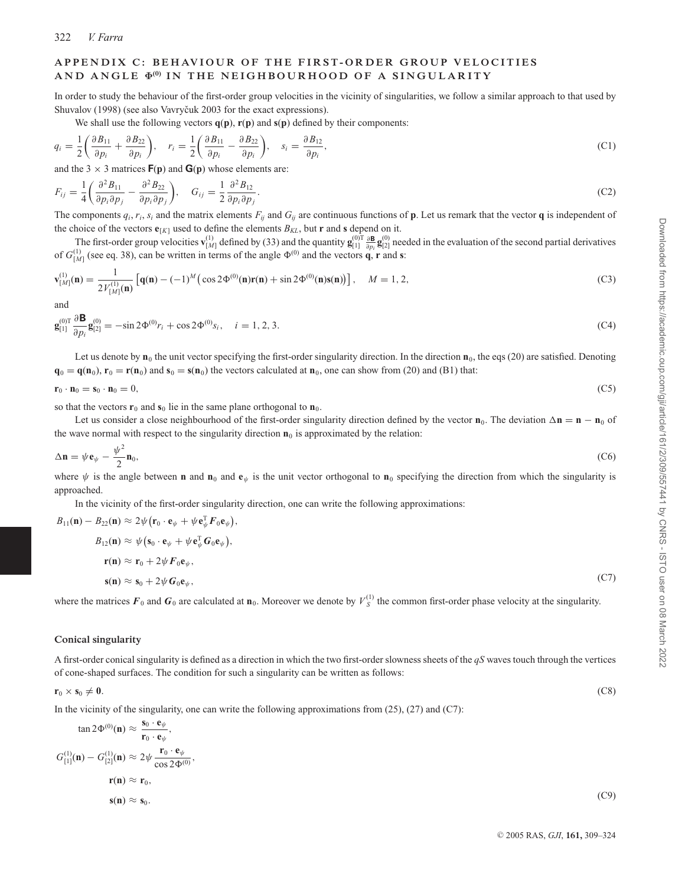#### APPENDIX C: BEHAVIOUR OF THE FIRST-ORDER GROUP VELOCITIES **AND ANGLE Φ(0) IN THE NEIGHBOURHOOD OF A SINGULARITY**

In order to study the behaviour of the first-order group velocities in the vicinity of singularities, we follow a similar approach to that used by Shuvalov (1998) (see also Vavryčuk 2003 for the exact expressions).

We shall use the following vectors  $q(p)$ ,  $r(p)$  and  $s(p)$  defined by their components:

$$
q_i = \frac{1}{2} \left( \frac{\partial B_{11}}{\partial p_i} + \frac{\partial B_{22}}{\partial p_i} \right), \quad r_i = \frac{1}{2} \left( \frac{\partial B_{11}}{\partial p_i} - \frac{\partial B_{22}}{\partial p_i} \right), \quad s_i = \frac{\partial B_{12}}{\partial p_i},
$$
(C1)

and the 3  $\times$  3 matrices  $F(p)$  and  $G(p)$  whose elements are:

$$
F_{ij} = \frac{1}{4} \left( \frac{\partial^2 B_{11}}{\partial p_i \partial p_j} - \frac{\partial^2 B_{22}}{\partial p_i \partial p_j} \right), \quad G_{ij} = \frac{1}{2} \frac{\partial^2 B_{12}}{\partial p_i \partial p_j}.
$$
(C2)

The components  $q_i$ ,  $r_i$ ,  $s_i$  and the matrix elements  $F_{ij}$  and  $G_{ij}$  are continuous functions of **p**. Let us remark that the vector **q** is independent of the choice of the vectors  $\mathbf{e}_{[K]}$  used to define the elements  $B_{KL}$ , but **r** and **s** depend on it.

The first-order group velocities  $\mathbf{v}_{[M]}^{(1)}$  defined by (33) and the quantity  $\mathbf{g}_{[1]}^{(0)T} \frac{\partial \mathbf{B}}{\partial p_i} \mathbf{g}_{[2]}^{(0)}$  needed in the evaluation of the second partial derivatives of  $G_{[M]}^{(1)}$  (see eq. 38), can be written in terms of the angle  $\Phi^{(0)}$  and the vectors **q**, **r** and **s**:

$$
\mathbf{v}_{[M]}^{(1)}(\mathbf{n}) = \frac{1}{2V_{[M]}^{(1)}(\mathbf{n})} \left[ \mathbf{q}(\mathbf{n}) - (-1)^M \left( \cos 2\Phi^{(0)}(\mathbf{n}) \mathbf{r}(\mathbf{n}) + \sin 2\Phi^{(0)}(\mathbf{n}) \mathbf{s}(\mathbf{n}) \right) \right], \quad M = 1, 2,
$$
\n(C3)

and

$$
\mathbf{g}_{[1]}^{(0)\mathrm{T}}\frac{\partial \mathbf{B}}{\partial p_i}\mathbf{g}_{[2]}^{(0)} = -\sin 2\Phi^{(0)}r_i + \cos 2\Phi^{(0)}s_i, \quad i = 1, 2, 3. \tag{C4}
$$

Let us denote by  $\mathbf{n}_0$  the unit vector specifying the first-order singularity direction. In the direction  $\mathbf{n}_0$ , the eqs (20) are satisfied. Denoting  $\mathbf{q}_0 = \mathbf{q}(\mathbf{n}_0)$ ,  $\mathbf{r}_0 = \mathbf{r}(\mathbf{n}_0)$  and  $\mathbf{s}_0 = \mathbf{s}(\mathbf{n}_0)$  the vectors calculated at  $\mathbf{n}_0$ , one can show from (20) and (B1) that:

$$
\mathbf{r}_0 \cdot \mathbf{n}_0 = \mathbf{s}_0 \cdot \mathbf{n}_0 = 0,\tag{C5}
$$

so that the vectors  $\mathbf{r}_0$  and  $\mathbf{s}_0$  lie in the same plane orthogonal to  $\mathbf{n}_0$ .

Let us consider a close neighbourhood of the first-order singularity direction defined by the vector  $\mathbf{n}_0$ . The deviation  $\Delta \mathbf{n} = \mathbf{n} - \mathbf{n}_0$  of the wave normal with respect to the singularity direction  $\mathbf{n}_0$  is approximated by the relation:

$$
\Delta \mathbf{n} = \psi \mathbf{e}_{\psi} - \frac{\psi^2}{2} \mathbf{n}_0, \tag{C6}
$$

where  $\psi$  is the angle between **n** and **n**<sub>0</sub> and **e**<sub> $\psi$ </sub> is the unit vector orthogonal to **n**<sub>0</sub> specifying the direction from which the singularity is approached.

In the vicinity of the first-order singularity direction, one can write the following approximations:

$$
B_{11}(\mathbf{n}) - B_{22}(\mathbf{n}) \approx 2\psi (\mathbf{r}_0 \cdot \mathbf{e}_{\psi} + \psi \mathbf{e}_{\psi}^{\mathrm{T}} F_0 \mathbf{e}_{\psi}),
$$
  
\n
$$
B_{12}(\mathbf{n}) \approx \psi (\mathbf{s}_0 \cdot \mathbf{e}_{\psi} + \psi \mathbf{e}_{\psi}^{\mathrm{T}} G_0 \mathbf{e}_{\psi}),
$$
  
\n
$$
\mathbf{r}(\mathbf{n}) \approx \mathbf{r}_0 + 2\psi F_0 \mathbf{e}_{\psi},
$$
  
\n
$$
\mathbf{s}(\mathbf{n}) \approx \mathbf{s}_0 + 2\psi G_0 \mathbf{e}_{\psi},
$$
\n(C7)

where the matrices  $F_0$  and  $G_0$  are calculated at  $\mathbf{n}_0$ . Moreover we denote by  $V_S^{(1)}$  the common first-order phase velocity at the singularity.

#### **Conical singularity**

A first-order conical singularity is defined as a direction in which the two first-order slowness sheets of the *qS* waves touch through the vertices of cone-shaped surfaces. The condition for such a singularity can be written as follows:

## $\mathbf{r}_0 \times \mathbf{s}_0 \neq \mathbf{0}$ . (C8)

In the vicinity of the singularity, one can write the following approximations from  $(25)$ ,  $(27)$  and  $(C7)$ :

$$
\tan 2\Phi^{(0)}(\mathbf{n}) \approx \frac{\mathbf{s}_0 \cdot \mathbf{e}_{\psi}}{\mathbf{r}_0 \cdot \mathbf{e}_{\psi}},
$$
  
\n
$$
G_{[1]}^{(1)}(\mathbf{n}) - G_{[2]}^{(1)}(\mathbf{n}) \approx 2\psi \frac{\mathbf{r}_0 \cdot \mathbf{e}_{\psi}}{\cos 2\Phi^{(0)}},
$$
  
\n
$$
\mathbf{r}(\mathbf{n}) \approx \mathbf{r}_0,
$$
  
\n
$$
\mathbf{s}(\mathbf{n}) \approx \mathbf{s}_0.
$$
 (C9)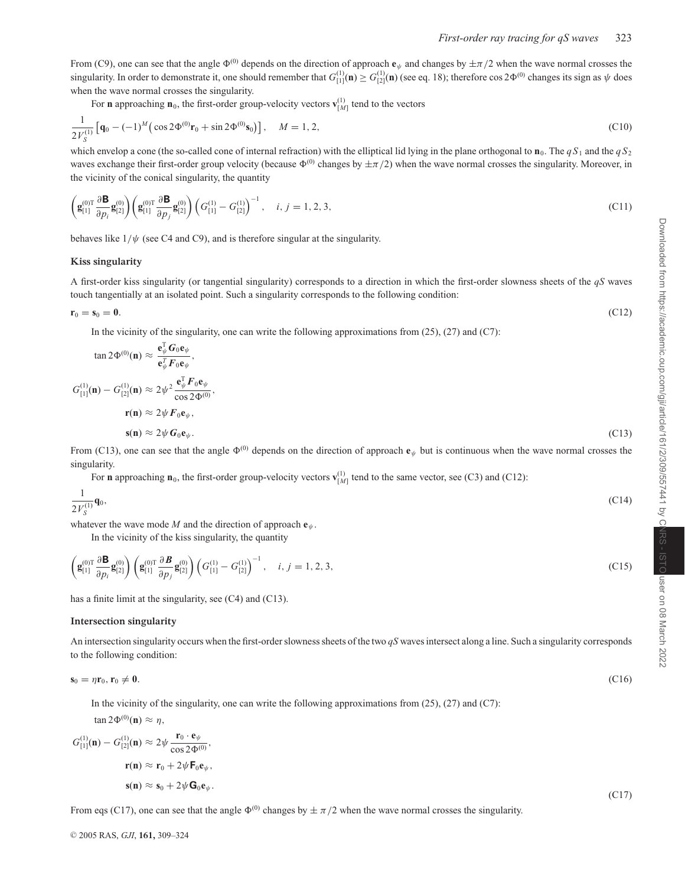From (C9), one can see that the angle  $\Phi^{(0)}$  depends on the direction of approach  $\mathbf{e}_{\psi}$  and changes by  $\pm \pi/2$  when the wave normal crosses the singularity. In order to demonstrate it, one should remember that  $G_{[1]}^{(1)}(\mathbf{n}) \ge G_{[2]}^{(1)}(\mathbf{n})$  (see eq. 18); therefore cos 2 $\Phi^{(0)}$  changes its sign as  $\psi$  does when the wave normal crosses the singularity.

For **n** approaching  $\mathbf{n}_0$ , the first-order group-velocity vectors  $\mathbf{v}_{[M]}^{(1)}$  tend to the vectors

$$
\frac{1}{2V_S^{(1)}}\left[\mathbf{q}_0 - (-1)^M \left(\cos 2\Phi^{(0)}\mathbf{r}_0 + \sin 2\Phi^{(0)}\mathbf{s}_0\right)\right], \quad M = 1, 2,
$$
\n(C10)

which envelop a cone (the so-called cone of internal refraction) with the elliptical lid lying in the plane orthogonal to  $\mathbf{n}_0$ . The  $qS_1$  and the  $qS_2$ waves exchange their first-order group velocity (because  $\Phi^{(0)}$  changes by  $\pm \pi/2$ ) when the wave normal crosses the singularity. Moreover, in the vicinity of the conical singularity, the quantity

$$
\left(\mathbf{g}_{[1]}^{(0)T} \frac{\partial \mathbf{B}}{\partial p_i} \mathbf{g}_{[2]}^{(0)}\right) \left(\mathbf{g}_{[1]}^{(0)T} \frac{\partial \mathbf{B}}{\partial p_j} \mathbf{g}_{[2]}^{(0)}\right) \left(G_{[1]}^{(1)} - G_{[2]}^{(1)}\right)^{-1}, \quad i, j = 1, 2, 3,
$$
\n(C11)

behaves like  $1/\psi$  (see C4 and C9), and is therefore singular at the singularity.

#### **Kiss singularity**

A first-order kiss singularity (or tangential singularity) corresponds to a direction in which the first-order slowness sheets of the *qS* waves touch tangentially at an isolated point. Such a singularity corresponds to the following condition:

$$
r_0 = s_0 = 0. \tag{C12}
$$

In the vicinity of the singularity, one can write the following approximations from  $(25)$ ,  $(27)$  and  $(C7)$ :

$$
\tan 2\Phi^{(0)}(\mathbf{n}) \approx \frac{\mathbf{e}_{\psi}^{\mathrm{T}} G_0 \mathbf{e}_{\psi}}{\mathbf{e}_{\psi}^{\mathrm{T}} F_0 \mathbf{e}_{\psi}},
$$
  
\n
$$
G_{[1]}^{(1)}(\mathbf{n}) - G_{[2]}^{(1)}(\mathbf{n}) \approx 2\psi^2 \frac{\mathbf{e}_{\psi}^{\mathrm{T}} F_0 \mathbf{e}_{\psi}}{\cos 2\Phi^{(0)}},
$$
  
\n
$$
\mathbf{r}(\mathbf{n}) \approx 2\psi F_0 \mathbf{e}_{\psi},
$$
  
\n
$$
\mathbf{s}(\mathbf{n}) \approx 2\psi G_0 \mathbf{e}_{\psi}.
$$
\n(C13)

From (C13), one can see that the angle  $\Phi^{(0)}$  depends on the direction of approach  $\mathbf{e}_{\psi}$  but is continuous when the wave normal crosses the singularity.

For **n** approaching  $\mathbf{n}_0$ , the first-order group-velocity vectors  $\mathbf{v}_{[M]}^{(1)}$  tend to the same vector, see (C3) and (C12):

$$
\frac{1}{2V_S^{(1)}}\mathbf{q}_0,\tag{C14}
$$

whatever the wave mode *M* and the direction of approach  $e_{\psi}$ .

In the vicinity of the kiss singularity, the quantity

 $T_{\alpha}$ 

$$
\left(\mathbf{g}_{[1]}^{(0)T} \frac{\partial \mathbf{B}}{\partial p_i} \mathbf{g}_{[2]}^{(0)}\right) \left(\mathbf{g}_{[1]}^{(0)T} \frac{\partial \mathbf{B}}{\partial p_j} \mathbf{g}_{[2]}^{(0)}\right) \left(G_{[1]}^{(1)} - G_{[2]}^{(1)}\right)^{-1}, \quad i, j = 1, 2, 3,
$$
\n(C15)

has a finite limit at the singularity, see (C4) and (C13).

#### **Intersection singularity**

An intersection singularity occurs when the first-order slowness sheets of the two *qS* wavesintersect along a line. Such a singularity corresponds to the following condition:

$$
\mathbf{s}_0 = \eta \mathbf{r}_0, \mathbf{r}_0 \neq \mathbf{0}.\tag{C16}
$$

In the vicinity of the singularity, one can write the following approximations from  $(25)$ ,  $(27)$  and  $(C7)$ :

 $\tan 2\Phi^{(0)}(\mathbf{n}) \approx \eta,$ 

$$
G_{[1]}^{(1)}(\mathbf{n}) - G_{[2]}^{(1)}(\mathbf{n}) \approx 2\psi \frac{\mathbf{r}_0 \cdot \mathbf{e}_{\psi}}{\cos 2\Phi^{(0)}},
$$
  

$$
\mathbf{r}(\mathbf{n}) \approx \mathbf{r}_0 + 2\psi \mathbf{F}_0 \mathbf{e}_{\psi},
$$
  

$$
\mathbf{s}(\mathbf{n}) \approx \mathbf{s}_0 + 2\psi \mathbf{G}_0 \mathbf{e}_{\psi}.
$$
 (C17)

From eqs (C17), one can see that the angle  $\Phi^{(0)}$  changes by  $\pm \pi/2$  when the wave normal crosses the singularity.